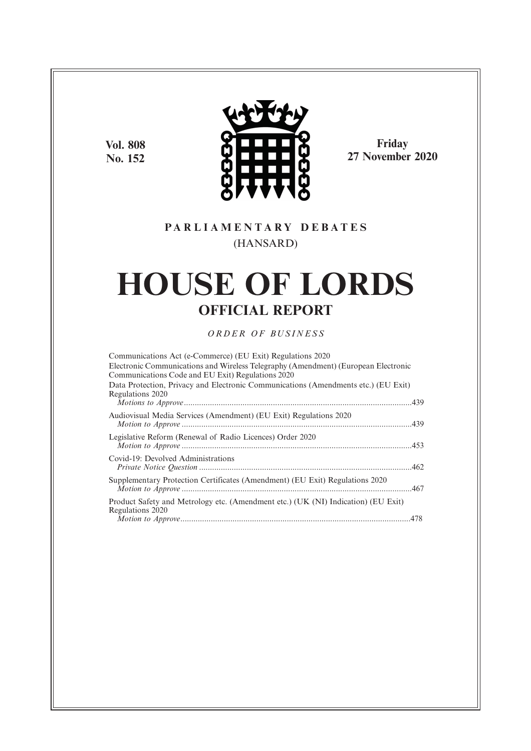**Vol. 808 No. 152**



**Friday 27 November 2020**

# **P A R L I A M E N T A R Y D E B A T E S** (HANSARD)

# **HOUSE OF LORDS OFFICIAL REPORT**

*O R D E R O F BU S I N E S S*

| Communications Act (e-Commerce) (EU Exit) Regulations 2020<br>Electronic Communications and Wireless Telegraphy (Amendment) (European Electronic<br>Communications Code and EU Exit) Regulations 2020 |  |
|-------------------------------------------------------------------------------------------------------------------------------------------------------------------------------------------------------|--|
| Data Protection, Privacy and Electronic Communications (Amendments etc.) (EU Exit)<br>Regulations 2020                                                                                                |  |
| Audiovisual Media Services (Amendment) (EU Exit) Regulations 2020                                                                                                                                     |  |
| Legislative Reform (Renewal of Radio Licences) Order 2020                                                                                                                                             |  |
| Covid-19: Devolved Administrations                                                                                                                                                                    |  |
| Supplementary Protection Certificates (Amendment) (EU Exit) Regulations 2020                                                                                                                          |  |
| Product Safety and Metrology etc. (Amendment etc.) (UK (NI) Indication) (EU Exit)<br>Regulations 2020                                                                                                 |  |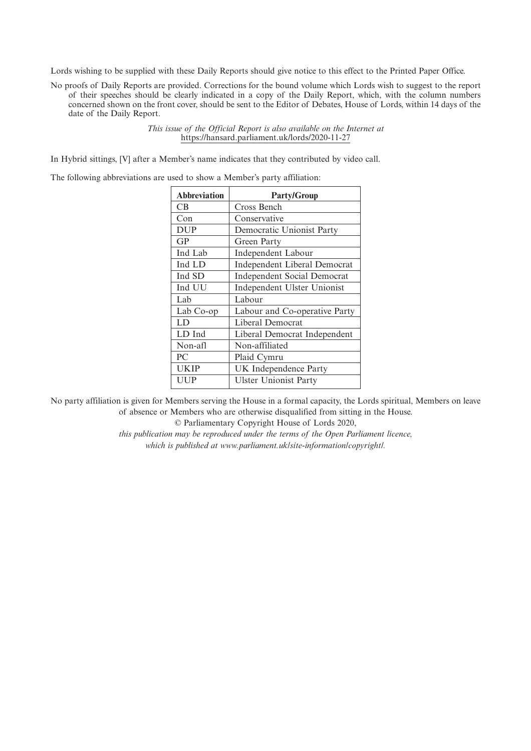Lords wishing to be supplied with these Daily Reports should give notice to this effect to the Printed Paper Office.

No proofs of Daily Reports are provided. Corrections for the bound volume which Lords wish to suggest to the report of their speeches should be clearly indicated in a copy of the Daily Report, which, with the column numbers concerned shown on the front cover, should be sent to the Editor of Debates, House of Lords, within 14 days of the date of the Daily Report.

> *This issue of the Official Report is also available on the Internet at* https://hansard.parliament.uk/lords/2020-11-27

In Hybrid sittings, [V] after a Member's name indicates that they contributed by video call.

The following abbreviations are used to show a Member's party affiliation:

| <b>Abbreviation</b> | <b>Party/Group</b>                 |
|---------------------|------------------------------------|
| CВ                  | Cross Bench                        |
| Con                 | Conservative                       |
| <b>DUP</b>          | Democratic Unionist Party          |
| GP                  | Green Party                        |
| Ind Lab             | Independent Labour                 |
| Ind LD              | Independent Liberal Democrat       |
| Ind SD              | <b>Independent Social Democrat</b> |
| Ind UU              | Independent Ulster Unionist        |
| Lab                 | Labour                             |
| Lab Co-op           | Labour and Co-operative Party      |
| LD                  | Liberal Democrat                   |
| LD Ind              | Liberal Democrat Independent       |
| Non-afl             | Non-affiliated                     |
| PC.                 | Plaid Cymru                        |
| UKIP                | UK Independence Party              |
| UUP                 | <b>Ulster Unionist Party</b>       |
|                     |                                    |

No party affiliation is given for Members serving the House in a formal capacity, the Lords spiritual, Members on leave of absence or Members who are otherwise disqualified from sitting in the House.

© Parliamentary Copyright House of Lords 2020,

*this publication may be reproduced under the terms of the Open Parliament licence, which is published at www.parliament.uk/site-information/copyright/.*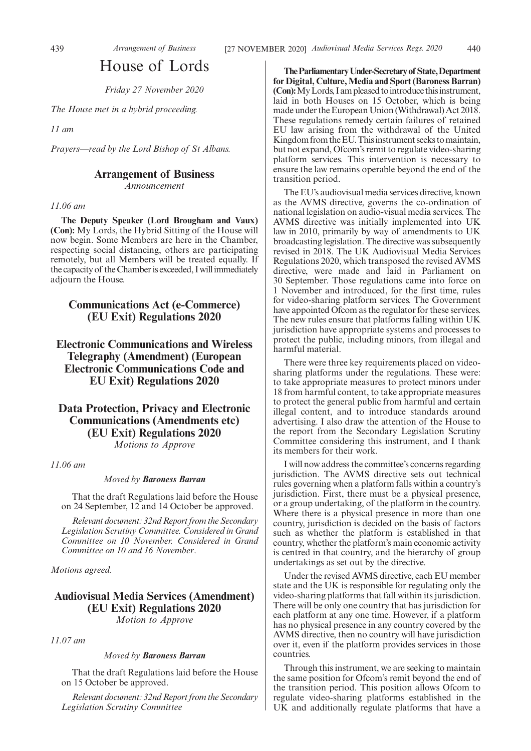# House of Lords

*Friday 27 November 2020*

*The House met in a hybrid proceeding.*

*11 am*

*Prayers—read by the Lord Bishop of St Albans.*

#### **Arrangement of Business**

*Announcement*

*11.06 am*

**The Deputy Speaker (Lord Brougham and Vaux) (Con):** My Lords, the Hybrid Sitting of the House will now begin. Some Members are here in the Chamber, respecting social distancing, others are participating remotely, but all Members will be treated equally. If the capacity of the Chamber is exceeded, I will immediately adjourn the House.

## **Communications Act (e-Commerce) (EU Exit) Regulations 2020**

**Electronic Communications and Wireless Telegraphy (Amendment) (European Electronic Communications Code and EU Exit) Regulations 2020**

**Data Protection, Privacy and Electronic Communications (Amendments etc) (EU Exit) Regulations 2020** *Motions to Approve*

*11.06 am*

#### *Moved by Baroness Barran*

That the draft Regulations laid before the House on 24 September, 12 and 14 October be approved.

*Relevant document: 32nd Report from the Secondary Legislation Scrutiny Committee. Considered in Grand Committee on 10 November. Considered in Grand Committee on 10 and 16 November*.

*Motions agreed.*

## **Audiovisual Media Services (Amendment) (EU Exit) Regulations 2020** *Motion to Approve*

*11.07 am*

#### *Moved by Baroness Barran*

That the draft Regulations laid before the House on 15 October be approved.

*Relevant document: 32nd Report from the Secondary Legislation Scrutiny Committee*

**TheParliamentaryUnder-Secretaryof State,Department for Digital, Culture, Media and Sport (Baroness Barran)** (Con): My Lords, I am pleased to introduce this instrument, laid in both Houses on 15 October, which is being made under the European Union (Withdrawal) Act 2018. These regulations remedy certain failures of retained EU law arising from the withdrawal of the United Kingdom from the EU. This instrument seeks to maintain, but not expand, Ofcom's remit to regulate video-sharing platform services. This intervention is necessary to ensure the law remains operable beyond the end of the transition period.

The EU's audiovisual media services directive, known as the AVMS directive, governs the co-ordination of national legislation on audio-visual media services. The AVMS directive was initially implemented into UK law in 2010, primarily by way of amendments to UK broadcasting legislation. The directive was subsequently revised in 2018. The UK Audiovisual Media Services Regulations 2020, which transposed the revised AVMS directive, were made and laid in Parliament on 30 September. Those regulations came into force on 1 November and introduced, for the first time, rules for video-sharing platform services. The Government have appointed Ofcom as the regulator for these services. The new rules ensure that platforms falling within UK jurisdiction have appropriate systems and processes to protect the public, including minors, from illegal and harmful material.

There were three key requirements placed on videosharing platforms under the regulations. These were: to take appropriate measures to protect minors under 18 from harmful content, to take appropriate measures to protect the general public from harmful and certain illegal content, and to introduce standards around advertising. I also draw the attention of the House to the report from the Secondary Legislation Scrutiny Committee considering this instrument, and I thank its members for their work.

I will now address the committee's concerns regarding jurisdiction. The AVMS directive sets out technical rules governing when a platform falls within a country's jurisdiction. First, there must be a physical presence, or a group undertaking, of the platform in the country. Where there is a physical presence in more than one country, jurisdiction is decided on the basis of factors such as whether the platform is established in that country, whether the platform's main economic activity is centred in that country, and the hierarchy of group undertakings as set out by the directive.

Under the revised AVMS directive, each EU member state and the UK is responsible for regulating only the video-sharing platforms that fall within its jurisdiction. There will be only one country that has jurisdiction for each platform at any one time. However, if a platform has no physical presence in any country covered by the AVMS directive, then no country will have jurisdiction over it, even if the platform provides services in those countries.

Through this instrument, we are seeking to maintain the same position for Ofcom's remit beyond the end of the transition period. This position allows Ofcom to regulate video-sharing platforms established in the UK and additionally regulate platforms that have a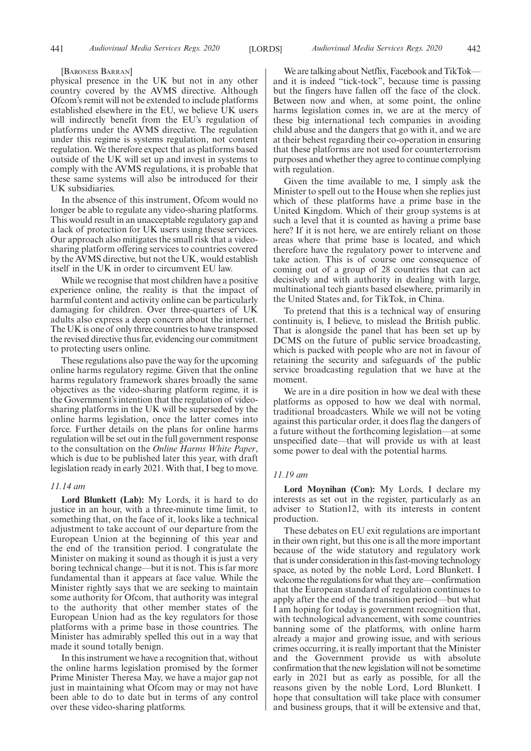#### [BARONESS BARRAN]

physical presence in the UK but not in any other country covered by the AVMS directive. Although Ofcom's remit will not be extended to include platforms established elsewhere in the EU, we believe UK users will indirectly benefit from the EU's regulation of platforms under the AVMS directive. The regulation under this regime is systems regulation, not content regulation. We therefore expect that as platforms based outside of the UK will set up and invest in systems to comply with the AVMS regulations, it is probable that these same systems will also be introduced for their UK subsidiaries.

In the absence of this instrument, Ofcom would no longer be able to regulate any video-sharing platforms. This would result in an unacceptable regulatory gap and a lack of protection for UK users using these services. Our approach also mitigates the small risk that a videosharing platform offering services to countries covered by the AVMS directive, but not the UK, would establish itself in the UK in order to circumvent EU law.

While we recognise that most children have a positive experience online, the reality is that the impact of harmful content and activity online can be particularly damaging for children. Over three-quarters of UK adults also express a deep concern about the internet. The UK is one of only three countries to have transposed the revised directive thus far, evidencing our commitment to protecting users online.

These regulations also pave the way for the upcoming online harms regulatory regime. Given that the online harms regulatory framework shares broadly the same objectives as the video-sharing platform regime, it is the Government's intention that the regulation of videosharing platforms in the UK will be superseded by the online harms legislation, once the latter comes into force. Further details on the plans for online harms regulation will be set out in the full government response to the consultation on the *Online Harms White Paper*, which is due to be published later this year, with draft legislation ready in early 2021. With that, I beg to move.

#### *11.14 am*

**Lord Blunkett (Lab):** My Lords, it is hard to do justice in an hour, with a three-minute time limit, to something that, on the face of it, looks like a technical adjustment to take account of our departure from the European Union at the beginning of this year and the end of the transition period. I congratulate the Minister on making it sound as though it is just a very boring technical change—but it is not. This is far more fundamental than it appears at face value. While the Minister rightly says that we are seeking to maintain some authority for Ofcom, that authority was integral to the authority that other member states of the European Union had as the key regulators for those platforms with a prime base in those countries. The Minister has admirably spelled this out in a way that made it sound totally benign.

In this instrument we have a recognition that, without the online harms legislation promised by the former Prime Minister Theresa May, we have a major gap not just in maintaining what Ofcom may or may not have been able to do to date but in terms of any control over these video-sharing platforms.

We are talking about Netflix, Facebook and TikTok and it is indeed "tick-tock", because time is passing but the fingers have fallen off the face of the clock. Between now and when, at some point, the online harms legislation comes in, we are at the mercy of these big international tech companies in avoiding child abuse and the dangers that go with it, and we are at their behest regarding their co-operation in ensuring that these platforms are not used for counterterrorism purposes and whether they agree to continue complying with regulation.

Given the time available to me, I simply ask the Minister to spell out to the House when she replies just which of these platforms have a prime base in the United Kingdom. Which of their group systems is at such a level that it is counted as having a prime base here? If it is not here, we are entirely reliant on those areas where that prime base is located, and which therefore have the regulatory power to intervene and take action. This is of course one consequence of coming out of a group of 28 countries that can act decisively and with authority in dealing with large, multinational tech giants based elsewhere, primarily in the United States and, for TikTok, in China.

To pretend that this is a technical way of ensuring continuity is, I believe, to mislead the British public. That is alongside the panel that has been set up by DCMS on the future of public service broadcasting, which is packed with people who are not in favour of retaining the security and safeguards of the public service broadcasting regulation that we have at the moment.

We are in a dire position in how we deal with these platforms as opposed to how we deal with normal, traditional broadcasters. While we will not be voting against this particular order, it does flag the dangers of a future without the forthcoming legislation—at some unspecified date—that will provide us with at least some power to deal with the potential harms.

#### *11.19 am*

**Lord Moynihan (Con):** My Lords, I declare my interests as set out in the register, particularly as an adviser to Station12, with its interests in content production.

These debates on EU exit regulations are important in their own right, but this one is all the more important because of the wide statutory and regulatory work that is under consideration in this fast-moving technology space, as noted by the noble Lord, Lord Blunkett. I welcome the regulations for what they are—confirmation that the European standard of regulation continues to apply after the end of the transition period—but what I am hoping for today is government recognition that, with technological advancement, with some countries banning some of the platforms, with online harm already a major and growing issue, and with serious crimes occurring, it is really important that the Minister and the Government provide us with absolute confirmation that the new legislation will not be sometime early in 2021 but as early as possible, for all the reasons given by the noble Lord, Lord Blunkett. I hope that consultation will take place with consumer and business groups, that it will be extensive and that,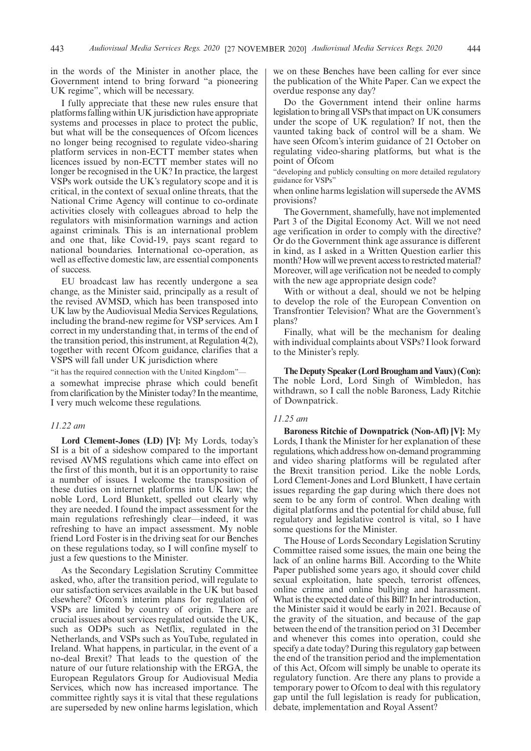in the words of the Minister in another place, the Government intend to bring forward "a pioneering UK regime", which will be necessary.

I fully appreciate that these new rules ensure that platforms falling within UK jurisdiction have appropriate systems and processes in place to protect the public, but what will be the consequences of Ofcom licences no longer being recognised to regulate video-sharing platform services in non-ECTT member states when licences issued by non-ECTT member states will no longer be recognised in the UK? In practice, the largest VSPs work outside the UK's regulatory scope and it is critical, in the context of sexual online threats, that the National Crime Agency will continue to co-ordinate activities closely with colleagues abroad to help the regulators with misinformation warnings and action against criminals. This is an international problem and one that, like Covid-19, pays scant regard to national boundaries. International co-operation, as well as effective domestic law, are essential components of success.

EU broadcast law has recently undergone a sea change, as the Minister said, principally as a result of the revised AVMSD, which has been transposed into UK law by the Audiovisual Media Services Regulations, including the brand-new regime for VSP services. Am I correct in my understanding that, in terms of the end of the transition period, this instrument, at Regulation 4(2), together with recent Ofcom guidance, clarifies that a VSPS will fall under UK jurisdiction where

"it has the required connection with the United Kingdom"—

a somewhat imprecise phrase which could benefit from clarification by the Minister today? In the meantime, I very much welcome these regulations.

#### *11.22 am*

**Lord Clement-Jones (LD) [V]:** My Lords, today's SI is a bit of a sideshow compared to the important revised AVMS regulations which came into effect on the first of this month, but it is an opportunity to raise a number of issues. I welcome the transposition of these duties on internet platforms into UK law; the noble Lord, Lord Blunkett, spelled out clearly why they are needed. I found the impact assessment for the main regulations refreshingly clear—indeed, it was refreshing to have an impact assessment. My noble friend Lord Foster is in the driving seat for our Benches on these regulations today, so I will confine myself to just a few questions to the Minister.

As the Secondary Legislation Scrutiny Committee asked, who, after the transition period, will regulate to our satisfaction services available in the UK but based elsewhere? Ofcom's interim plans for regulation of VSPs are limited by country of origin. There are crucial issues about services regulated outside the UK, such as ODPs such as Netflix, regulated in the Netherlands, and VSPs such as YouTube, regulated in Ireland. What happens, in particular, in the event of a no-deal Brexit? That leads to the question of the nature of our future relationship with the ERGA, the European Regulators Group for Audiovisual Media Services, which now has increased importance. The committee rightly says it is vital that these regulations are superseded by new online harms legislation, which we on these Benches have been calling for ever since the publication of the White Paper. Can we expect the overdue response any day?

Do the Government intend their online harms legislation to bring all VSPs that impact on UK consumers under the scope of UK regulation? If not, then the vaunted taking back of control will be a sham. We have seen Ofcom's interim guidance of 21 October on regulating video-sharing platforms, but what is the point of Ofcom

"developing and publicly consulting on more detailed regulatory guidance for VSPs"

when online harms legislation will supersede the AVMS provisions?

The Government, shamefully, have not implemented Part 3 of the Digital Economy Act. Will we not need age verification in order to comply with the directive? Or do the Government think age assurance is different in kind, as I asked in a Written Question earlier this month? How will we prevent access to restricted material? Moreover, will age verification not be needed to comply with the new age appropriate design code?

With or without a deal, should we not be helping to develop the role of the European Convention on Transfrontier Television? What are the Government's plans?

Finally, what will be the mechanism for dealing with individual complaints about VSPs? I look forward to the Minister's reply.

**The Deputy Speaker (Lord Brougham and Vaux) (Con):** The noble Lord, Lord Singh of Wimbledon, has withdrawn, so I call the noble Baroness, Lady Ritchie of Downpatrick.

#### *11.25 am*

**Baroness Ritchie of Downpatrick (Non-Afl) [V]:** My Lords, I thank the Minister for her explanation of these regulations, which address how on-demand programming and video sharing platforms will be regulated after the Brexit transition period. Like the noble Lords, Lord Clement-Jones and Lord Blunkett, I have certain issues regarding the gap during which there does not seem to be any form of control. When dealing with digital platforms and the potential for child abuse, full regulatory and legislative control is vital, so I have some questions for the Minister.

The House of Lords Secondary Legislation Scrutiny Committee raised some issues, the main one being the lack of an online harms Bill. According to the White Paper published some years ago, it should cover child sexual exploitation, hate speech, terrorist offences, online crime and online bullying and harassment. What is the expected date of this Bill? In her introduction, the Minister said it would be early in 2021. Because of the gravity of the situation, and because of the gap between the end of the transition period on 31 December and whenever this comes into operation, could she specify a date today? During this regulatory gap between the end of the transition period and the implementation of this Act, Ofcom will simply be unable to operate its regulatory function. Are there any plans to provide a temporary power to Ofcom to deal with this regulatory gap until the full legislation is ready for publication, debate, implementation and Royal Assent?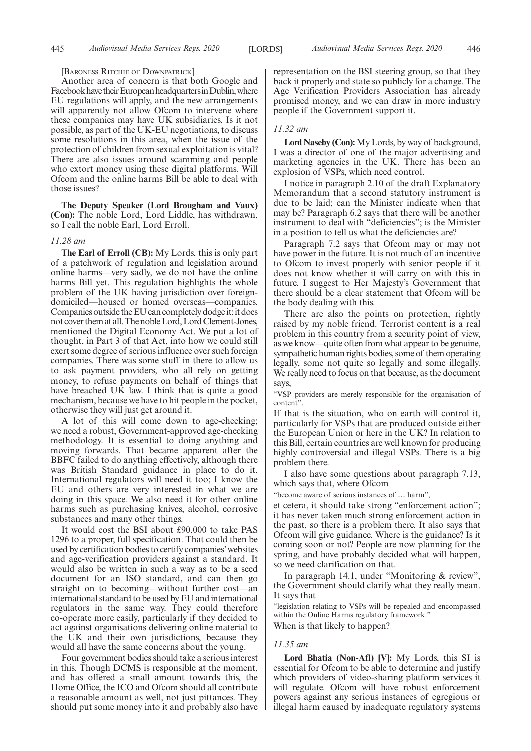#### [BARONESS RITCHIE OF DOWNPATRICK]

Another area of concern is that both Google and Facebook have their European headquarters in Dublin, where EU regulations will apply, and the new arrangements will apparently not allow Ofcom to intervene where these companies may have UK subsidiaries. Is it not possible, as part of the UK-EU negotiations, to discuss some resolutions in this area, when the issue of the protection of children from sexual exploitation is vital? There are also issues around scamming and people who extort money using these digital platforms. Will Ofcom and the online harms Bill be able to deal with those issues?

**The Deputy Speaker (Lord Brougham and Vaux) (Con):** The noble Lord, Lord Liddle, has withdrawn, so I call the noble Earl, Lord Erroll.

#### *11.28 am*

**The Earl of Erroll (CB):** My Lords, this is only part of a patchwork of regulation and legislation around online harms—very sadly, we do not have the online harms Bill yet. This regulation highlights the whole problem of the UK having jurisdiction over foreigndomiciled—housed or homed overseas—companies. Companies outside the EU can completely dodge it: it does not cover them at all. The noble Lord, Lord Clement-Jones, mentioned the Digital Economy Act. We put a lot of thought, in Part 3 of that Act, into how we could still exert some degree of serious influence over such foreign companies. There was some stuff in there to allow us to ask payment providers, who all rely on getting money, to refuse payments on behalf of things that have breached UK law. I think that is quite a good mechanism, because we have to hit people in the pocket, otherwise they will just get around it.

A lot of this will come down to age-checking; we need a robust, Government-approved age-checking methodology. It is essential to doing anything and moving forwards. That became apparent after the BBFC failed to do anything effectively, although there was British Standard guidance in place to do it. International regulators will need it too; I know the EU and others are very interested in what we are doing in this space. We also need it for other online harms such as purchasing knives, alcohol, corrosive substances and many other things.

It would cost the BSI about £90,000 to take PAS 1296 to a proper, full specification. That could then be used by certification bodies to certify companies'websites and age-verification providers against a standard. It would also be written in such a way as to be a seed document for an ISO standard, and can then go straight on to becoming—without further cost—an international standard to be used by EU and international regulators in the same way. They could therefore co-operate more easily, particularly if they decided to act against organisations delivering online material to the UK and their own jurisdictions, because they would all have the same concerns about the young.

Four government bodies should take a serious interest in this. Though DCMS is responsible at the moment, and has offered a small amount towards this, the Home Office, the ICO and Ofcom should all contribute a reasonable amount as well, not just pittances. They should put some money into it and probably also have representation on the BSI steering group, so that they back it properly and state so publicly for a change. The Age Verification Providers Association has already promised money, and we can draw in more industry people if the Government support it.

#### *11.32 am*

**Lord Naseby (Con):**My Lords, by way of background, I was a director of one of the major advertising and marketing agencies in the UK. There has been an explosion of VSPs, which need control.

I notice in paragraph 2.10 of the draft Explanatory Memorandum that a second statutory instrument is due to be laid; can the Minister indicate when that may be? Paragraph 6.2 says that there will be another instrument to deal with "deficiencies"; is the Minister in a position to tell us what the deficiencies are?

Paragraph 7.2 says that Ofcom may or may not have power in the future. It is not much of an incentive to Ofcom to invest properly with senior people if it does not know whether it will carry on with this in future. I suggest to Her Majesty's Government that there should be a clear statement that Ofcom will be the body dealing with this.

There are also the points on protection, rightly raised by my noble friend. Terrorist content is a real problem in this country from a security point of view, as we know—quite often from what appear to be genuine, sympathetic human rights bodies, some of them operating legally, some not quite so legally and some illegally. We really need to focus on that because, as the document says,

"VSP providers are merely responsible for the organisation of content".

If that is the situation, who on earth will control it, particularly for VSPs that are produced outside either the European Union or here in the UK? In relation to this Bill, certain countries are well known for producing highly controversial and illegal VSPs. There is a big problem there.

I also have some questions about paragraph 7.13, which says that, where Ofcom

"become aware of serious instances of … harm",

et cetera, it should take strong "enforcement action"; it has never taken much strong enforcement action in the past, so there is a problem there. It also says that Ofcom will give guidance. Where is the guidance? Is it coming soon or not? People are now planning for the spring, and have probably decided what will happen, so we need clarification on that.

In paragraph 14.1, under "Monitoring & review", the Government should clarify what they really mean. It says that

"legislation relating to VSPs will be repealed and encompassed within the Online Harms regulatory framework." When is that likely to happen?

#### *11.35 am*

**Lord Bhatia (Non-Afl) [V]:** My Lords, this SI is essential for Ofcom to be able to determine and justify which providers of video-sharing platform services it will regulate. Of com will have robust enforcement powers against any serious instances of egregious or illegal harm caused by inadequate regulatory systems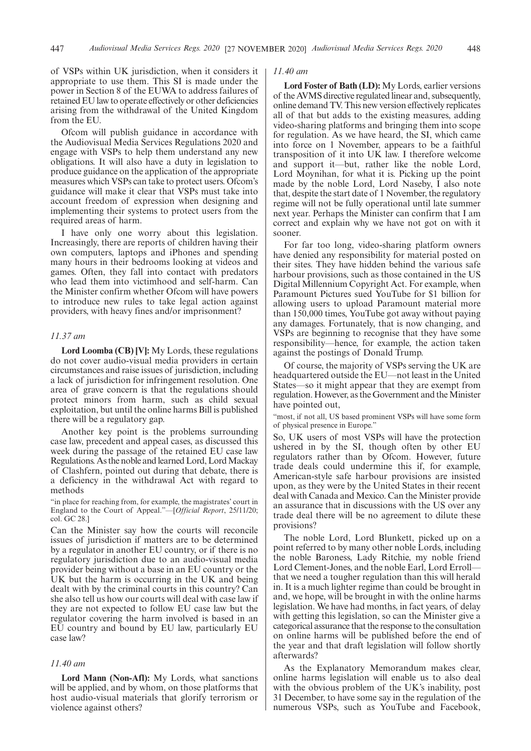of VSPs within UK jurisdiction, when it considers it appropriate to use them. This SI is made under the power in Section 8 of the EUWA to address failures of retained EU law to operate effectively or other deficiencies arising from the withdrawal of the United Kingdom from the EU.

Ofcom will publish guidance in accordance with the Audiovisual Media Services Regulations 2020 and engage with VSPs to help them understand any new obligations. It will also have a duty in legislation to produce guidance on the application of the appropriate measures which VSPs can take to protect users. Ofcom's guidance will make it clear that VSPs must take into account freedom of expression when designing and implementing their systems to protect users from the required areas of harm.

I have only one worry about this legislation. Increasingly, there are reports of children having their own computers, laptops and iPhones and spending many hours in their bedrooms looking at videos and games. Often, they fall into contact with predators who lead them into victimhood and self-harm. Can the Minister confirm whether Ofcom will have powers to introduce new rules to take legal action against providers, with heavy fines and/or imprisonment?

#### *11.37 am*

**Lord Loomba (CB) [V]:** My Lords, these regulations do not cover audio-visual media providers in certain circumstances and raise issues of jurisdiction, including a lack of jurisdiction for infringement resolution. One area of grave concern is that the regulations should protect minors from harm, such as child sexual exploitation, but until the online harms Bill is published there will be a regulatory gap.

Another key point is the problems surrounding case law, precedent and appeal cases, as discussed this week during the passage of the retained EU case law Regulations. As the noble and learned Lord, Lord Mackay of Clashfern, pointed out during that debate, there is a deficiency in the withdrawal Act with regard to methods

"in place for reaching from, for example, the magistrates' court in England to the Court of Appeal."—[*Official Report*, 25/11/20; col. GC 28.]

Can the Minister say how the courts will reconcile issues of jurisdiction if matters are to be determined by a regulator in another EU country, or if there is no regulatory jurisdiction due to an audio-visual media provider being without a base in an EU country or the UK but the harm is occurring in the UK and being dealt with by the criminal courts in this country? Can she also tell us how our courts will deal with case law if they are not expected to follow EU case law but the regulator covering the harm involved is based in an EU country and bound by EU law, particularly EU case law?

#### *11.40 am*

**Lord Mann (Non-Afl):** My Lords, what sanctions will be applied, and by whom, on those platforms that host audio-visual materials that glorify terrorism or violence against others?

#### *11.40 am*

**Lord Foster of Bath (LD):** My Lords, earlier versions of the AVMS directive regulated linear and, subsequently, online demand TV. This new version effectively replicates all of that but adds to the existing measures, adding video-sharing platforms and bringing them into scope for regulation. As we have heard, the SI, which came into force on 1 November, appears to be a faithful transposition of it into UK law. I therefore welcome and support it—but, rather like the noble Lord, Lord Moynihan, for what it is. Picking up the point made by the noble Lord, Lord Naseby, I also note that, despite the start date of 1 November, the regulatory regime will not be fully operational until late summer next year. Perhaps the Minister can confirm that I am correct and explain why we have not got on with it sooner.

For far too long, video-sharing platform owners have denied any responsibility for material posted on their sites. They have hidden behind the various safe harbour provisions, such as those contained in the US Digital Millennium Copyright Act. For example, when Paramount Pictures sued YouTube for \$1 billion for allowing users to upload Paramount material more than 150,000 times, YouTube got away without paying any damages. Fortunately, that is now changing, and VSPs are beginning to recognise that they have some responsibility—hence, for example, the action taken against the postings of Donald Trump.

Of course, the majority of VSPs serving the UK are headquartered outside the EU—not least in the United States—so it might appear that they are exempt from regulation. However, as the Government and the Minister have pointed out,

"most, if not all, US based prominent VSPs will have some form of physical presence in Europe."

So, UK users of most VSPs will have the protection ushered in by the SI, though often by other EU regulators rather than by Ofcom. However, future trade deals could undermine this if, for example, American-style safe harbour provisions are insisted upon, as they were by the United States in their recent deal with Canada and Mexico. Can the Minister provide an assurance that in discussions with the US over any trade deal there will be no agreement to dilute these provisions?

The noble Lord, Lord Blunkett, picked up on a point referred to by many other noble Lords, including the noble Baroness, Lady Ritchie, my noble friend Lord Clement-Jones, and the noble Earl, Lord Erroll that we need a tougher regulation than this will herald in. It is a much lighter regime than could be brought in and, we hope, will be brought in with the online harms legislation. We have had months, in fact years, of delay with getting this legislation, so can the Minister give a categorical assurance that the response to the consultation on online harms will be published before the end of the year and that draft legislation will follow shortly afterwards?

As the Explanatory Memorandum makes clear, online harms legislation will enable us to also deal with the obvious problem of the UK's inability, post 31 December, to have some say in the regulation of the numerous VSPs, such as YouTube and Facebook,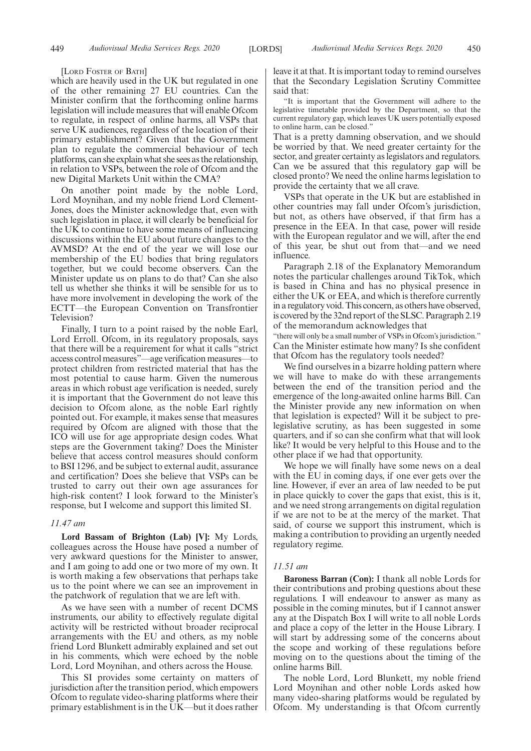[LORD FOSTER OF BATH]

which are heavily used in the UK but regulated in one of the other remaining 27 EU countries. Can the Minister confirm that the forthcoming online harms legislation will include measures that will enable Ofcom to regulate, in respect of online harms, all VSPs that serve UK audiences, regardless of the location of their primary establishment? Given that the Government plan to regulate the commercial behaviour of tech platforms, can she explain what she sees as the relationship, in relation to VSPs, between the role of Ofcom and the new Digital Markets Unit within the CMA?

On another point made by the noble Lord, Lord Moynihan, and my noble friend Lord Clement-Jones, does the Minister acknowledge that, even with such legislation in place, it will clearly be beneficial for the UK to continue to have some means of influencing discussions within the EU about future changes to the AVMSD? At the end of the year we will lose our membership of the EU bodies that bring regulators together, but we could become observers. Can the Minister update us on plans to do that? Can she also tell us whether she thinks it will be sensible for us to have more involvement in developing the work of the ECTT—the European Convention on Transfrontier Television?

Finally, I turn to a point raised by the noble Earl, Lord Erroll. Ofcom, in its regulatory proposals, says that there will be a requirement for what it calls "strict access control measures"—age verification measures—to protect children from restricted material that has the most potential to cause harm. Given the numerous areas in which robust age verification is needed, surely it is important that the Government do not leave this decision to Ofcom alone, as the noble Earl rightly pointed out. For example, it makes sense that measures required by Ofcom are aligned with those that the ICO will use for age appropriate design codes. What steps are the Government taking? Does the Minister believe that access control measures should conform to BSI 1296, and be subject to external audit, assurance and certification? Does she believe that VSPs can be trusted to carry out their own age assurances for high-risk content? I look forward to the Minister's response, but I welcome and support this limited SI.

#### *11.47 am*

**Lord Bassam of Brighton (Lab) [V]:** My Lords, colleagues across the House have posed a number of very awkward questions for the Minister to answer, and I am going to add one or two more of my own. It is worth making a few observations that perhaps take us to the point where we can see an improvement in the patchwork of regulation that we are left with.

As we have seen with a number of recent DCMS instruments, our ability to effectively regulate digital activity will be restricted without broader reciprocal arrangements with the EU and others, as my noble friend Lord Blunkett admirably explained and set out in his comments, which were echoed by the noble Lord, Lord Moynihan, and others across the House.

This SI provides some certainty on matters of jurisdiction after the transition period, which empowers Ofcom to regulate video-sharing platforms where their primary establishment is in the UK—but it does rather leave it at that. It is important today to remind ourselves that the Secondary Legislation Scrutiny Committee said that:

"It is important that the Government will adhere to the legislative timetable provided by the Department, so that the current regulatory gap, which leaves UK users potentially exposed to online harm, can be closed."

That is a pretty damning observation, and we should be worried by that. We need greater certainty for the sector, and greater certainty as legislators and regulators. Can we be assured that this regulatory gap will be closed pronto? We need the online harms legislation to provide the certainty that we all crave.

VSPs that operate in the UK but are established in other countries may fall under Ofcom's jurisdiction, but not, as others have observed, if that firm has a presence in the EEA. In that case, power will reside with the European regulator and we will, after the end of this year, be shut out from that—and we need influence.

Paragraph 2.18 of the Explanatory Memorandum notes the particular challenges around TikTok, which is based in China and has no physical presence in either the UK or EEA, and which is therefore currently in a regulatory void. This concern, as others have observed, is covered by the 32nd report of the SLSC. Paragraph 2.19 of the memorandum acknowledges that

"there will only be a small number of VSPs in Ofcom's jurisdiction." Can the Minister estimate how many? Is she confident that Ofcom has the regulatory tools needed?

We find ourselves in a bizarre holding pattern where we will have to make do with these arrangements between the end of the transition period and the emergence of the long-awaited online harms Bill. Can the Minister provide any new information on when that legislation is expected? Will it be subject to prelegislative scrutiny, as has been suggested in some quarters, and if so can she confirm what that will look like? It would be very helpful to this House and to the other place if we had that opportunity.

We hope we will finally have some news on a deal with the EU in coming days, if one ever gets over the line. However, if ever an area of law needed to be put in place quickly to cover the gaps that exist, this is it, and we need strong arrangements on digital regulation if we are not to be at the mercy of the market. That said, of course we support this instrument, which is making a contribution to providing an urgently needed regulatory regime.

#### *11.51 am*

**Baroness Barran (Con):** I thank all noble Lords for their contributions and probing questions about these regulations. I will endeavour to answer as many as possible in the coming minutes, but if I cannot answer any at the Dispatch Box I will write to all noble Lords and place a copy of the letter in the House Library. I will start by addressing some of the concerns about the scope and working of these regulations before moving on to the questions about the timing of the online harms Bill.

The noble Lord, Lord Blunkett, my noble friend Lord Moynihan and other noble Lords asked how many video-sharing platforms would be regulated by Ofcom. My understanding is that Ofcom currently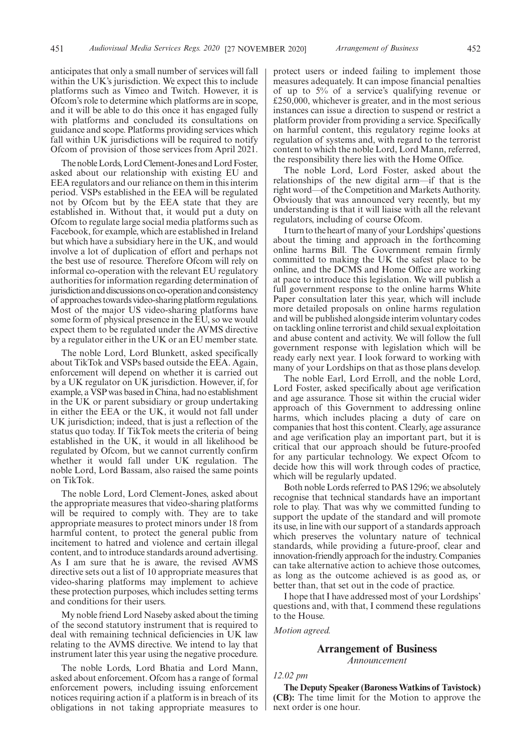anticipates that only a small number of services will fall within the UK's jurisdiction. We expect this to include platforms such as Vimeo and Twitch. However, it is Ofcom's role to determine which platforms are in scope, and it will be able to do this once it has engaged fully with platforms and concluded its consultations on guidance and scope. Platforms providing services which fall within UK jurisdictions will be required to notify Ofcom of provision of those services from April 2021.

The noble Lords, Lord Clement-Jones and Lord Foster, asked about our relationship with existing EU and EEA regulators and our reliance on them in this interim period. VSPs established in the EEA will be regulated not by Ofcom but by the EEA state that they are established in. Without that, it would put a duty on Ofcom to regulate large social media platforms such as Facebook, for example, which are established in Ireland but which have a subsidiary here in the UK, and would involve a lot of duplication of effort and perhaps not the best use of resource. Therefore Ofcom will rely on informal co-operation with the relevant EU regulatory authorities for information regarding determination of jurisdiction and discussions on co-operation and consistency of approaches towards video-sharing platform regulations. Most of the major US video-sharing platforms have some form of physical presence in the EU, so we would expect them to be regulated under the AVMS directive by a regulator either in the UK or an EU member state.

The noble Lord, Lord Blunkett, asked specifically about TikTok and VSPs based outside the EEA. Again, enforcement will depend on whether it is carried out by a UK regulator on UK jurisdiction. However, if, for example, a VSP was based in China, had no establishment in the UK or parent subsidiary or group undertaking in either the EEA or the UK, it would not fall under UK jurisdiction; indeed, that is just a reflection of the status quo today. If TikTok meets the criteria of being established in the UK, it would in all likelihood be regulated by Ofcom, but we cannot currently confirm whether it would fall under UK regulation. The noble Lord, Lord Bassam, also raised the same points on TikTok.

The noble Lord, Lord Clement-Jones, asked about the appropriate measures that video-sharing platforms will be required to comply with. They are to take appropriate measures to protect minors under 18 from harmful content, to protect the general public from incitement to hatred and violence and certain illegal content, and to introduce standards around advertising. As I am sure that he is aware, the revised AVMS directive sets out a list of 10 appropriate measures that video-sharing platforms may implement to achieve these protection purposes, which includes setting terms and conditions for their users.

My noble friend Lord Naseby asked about the timing of the second statutory instrument that is required to deal with remaining technical deficiencies in UK law relating to the AVMS directive. We intend to lay that instrument later this year using the negative procedure.

The noble Lords, Lord Bhatia and Lord Mann, asked about enforcement. Ofcom has a range of formal enforcement powers, including issuing enforcement notices requiring action if a platform is in breach of its obligations in not taking appropriate measures to protect users or indeed failing to implement those measures adequately. It can impose financial penalties of up to 5% of a service's qualifying revenue or £250,000, whichever is greater, and in the most serious instances can issue a direction to suspend or restrict a platform provider from providing a service. Specifically on harmful content, this regulatory regime looks at regulation of systems and, with regard to the terrorist content to which the noble Lord, Lord Mann, referred, the responsibility there lies with the Home Office.

The noble Lord, Lord Foster, asked about the relationships of the new digital arm—if that is the right word—of the Competition and Markets Authority. Obviously that was announced very recently, but my understanding is that it will liaise with all the relevant regulators, including of course Ofcom.

Iturntotheheartof manyof yourLordships'questions about the timing and approach in the forthcoming online harms Bill. The Government remain firmly committed to making the UK the safest place to be online, and the DCMS and Home Office are working at pace to introduce this legislation. We will publish a full government response to the online harms White Paper consultation later this year, which will include more detailed proposals on online harms regulation and will be published alongside interim voluntary codes on tackling online terrorist and child sexual exploitation and abuse content and activity. We will follow the full government response with legislation which will be ready early next year. I look forward to working with many of your Lordships on that as those plans develop.

The noble Earl, Lord Erroll, and the noble Lord, Lord Foster, asked specifically about age verification and age assurance. Those sit within the crucial wider approach of this Government to addressing online harms, which includes placing a duty of care on companies that host this content. Clearly, age assurance and age verification play an important part, but it is critical that our approach should be future-proofed for any particular technology. We expect Ofcom to decide how this will work through codes of practice, which will be regularly updated.

Both noble Lords referred to PAS 1296; we absolutely recognise that technical standards have an important role to play. That was why we committed funding to support the update of the standard and will promote its use, in line with our support of a standards approach which preserves the voluntary nature of technical standards, while providing a future-proof, clear and innovation-friendly approach for the industry. Companies can take alternative action to achieve those outcomes, as long as the outcome achieved is as good as, or better than, that set out in the code of practice.

I hope that I have addressed most of your Lordships' questions and, with that, I commend these regulations to the House.

*Motion agreed.*

### **Arrangement of Business** *Announcement*

#### *12.02 pm*

**The Deputy Speaker (Baroness Watkins of Tavistock) (CB):** The time limit for the Motion to approve the next order is one hour.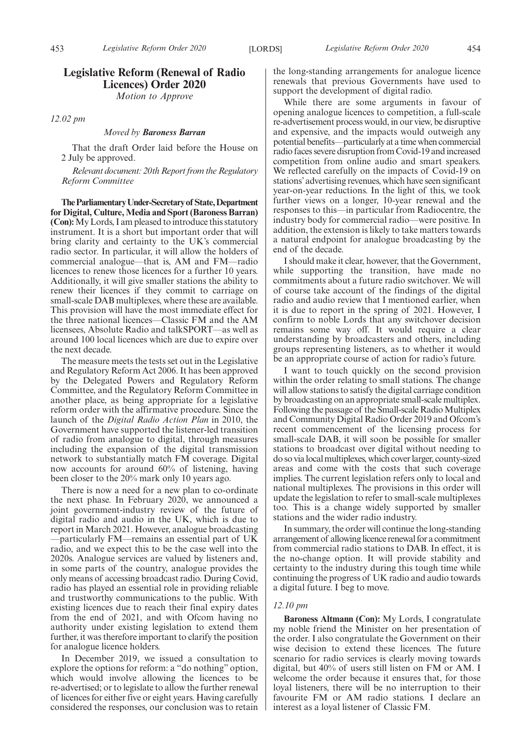## **Legislative Reform (Renewal of Radio Licences) Order 2020**

*Motion to Approve*

*12.02 pm*

#### *Moved by Baroness Barran*

That the draft Order laid before the House on 2 July be approved.

*Relevant document: 20th Report from the Regulatory Reform Committee*

**TheParliamentaryUnder-Secretaryof State,Department for Digital, Culture, Media and Sport (Baroness Barran) (Con):**My Lords, I am pleased to introduce this statutory instrument. It is a short but important order that will bring clarity and certainty to the UK's commercial radio sector. In particular, it will allow the holders of commercial analogue—that is, AM and FM—radio licences to renew those licences for a further 10 years. Additionally, it will give smaller stations the ability to renew their licences if they commit to carriage on small-scale DAB multiplexes, where these are available. This provision will have the most immediate effect for the three national licences—Classic FM and the AM licensees, Absolute Radio and talkSPORT—as well as around 100 local licences which are due to expire over the next decade.

The measure meets the tests set out in the Legislative and Regulatory Reform Act 2006. It has been approved by the Delegated Powers and Regulatory Reform Committee, and the Regulatory Reform Committee in another place, as being appropriate for a legislative reform order with the affirmative procedure. Since the launch of the *Digital Radio Action Plan* in 2010, the Government have supported the listener-led transition of radio from analogue to digital, through measures including the expansion of the digital transmission network to substantially match FM coverage. Digital now accounts for around 60% of listening, having been closer to the 20% mark only 10 years ago.

There is now a need for a new plan to co-ordinate the next phase. In February 2020, we announced a joint government-industry review of the future of digital radio and audio in the UK, which is due to report in March 2021. However, analogue broadcasting —particularly FM—remains an essential part of UK radio, and we expect this to be the case well into the 2020s. Analogue services are valued by listeners and, in some parts of the country, analogue provides the only means of accessing broadcast radio. During Covid, radio has played an essential role in providing reliable and trustworthy communications to the public. With existing licences due to reach their final expiry dates from the end of 2021, and with Ofcom having no authority under existing legislation to extend them further, it was therefore important to clarify the position for analogue licence holders.

In December 2019, we issued a consultation to explore the options for reform: a "do nothing" option, which would involve allowing the licences to be re-advertised; or to legislate to allow the further renewal of licences for either five or eight years. Having carefully considered the responses, our conclusion was to retain the long-standing arrangements for analogue licence renewals that previous Governments have used to support the development of digital radio.

While there are some arguments in favour of opening analogue licences to competition, a full-scale re-advertisement process would, in our view, be disruptive and expensive, and the impacts would outweigh any potential benefits—particularly at a time when commercial radio faces severe disruption from Covid-19 and increased competition from online audio and smart speakers. We reflected carefully on the impacts of Covid-19 on stations'advertising revenues, which have seen significant year-on-year reductions. In the light of this, we took further views on a longer, 10-year renewal and the responses to this—in particular from Radiocentre, the industry body for commercial radio—were positive. In addition, the extension is likely to take matters towards a natural endpoint for analogue broadcasting by the end of the decade.

I should make it clear, however, that the Government, while supporting the transition, have made no commitments about a future radio switchover. We will of course take account of the findings of the digital radio and audio review that I mentioned earlier, when it is due to report in the spring of 2021. However, I confirm to noble Lords that any switchover decision remains some way off. It would require a clear understanding by broadcasters and others, including groups representing listeners, as to whether it would be an appropriate course of action for radio's future.

I want to touch quickly on the second provision within the order relating to small stations. The change will allow stations to satisfy the digital carriage condition by broadcasting on an appropriate small-scale multiplex. Following the passage of the Small-scale Radio Multiplex and Community Digital Radio Order 2019 and Ofcom's recent commencement of the licensing process for small-scale DAB, it will soon be possible for smaller stations to broadcast over digital without needing to do so via local multiplexes, which cover larger, county-sized areas and come with the costs that such coverage implies. The current legislation refers only to local and national multiplexes. The provisions in this order will update the legislation to refer to small-scale multiplexes too. This is a change widely supported by smaller stations and the wider radio industry.

In summary, the order will continue the long-standing arrangement of allowing licence renewal for a commitment from commercial radio stations to DAB. In effect, it is the no-change option. It will provide stability and certainty to the industry during this tough time while continuing the progress of UK radio and audio towards a digital future. I beg to move.

#### *12.10 pm*

**Baroness Altmann (Con):** My Lords, I congratulate my noble friend the Minister on her presentation of the order. I also congratulate the Government on their wise decision to extend these licences. The future scenario for radio services is clearly moving towards digital, but 40% of users still listen on FM or AM. I welcome the order because it ensures that, for those loyal listeners, there will be no interruption to their favourite FM or AM radio stations. I declare an interest as a loyal listener of Classic FM.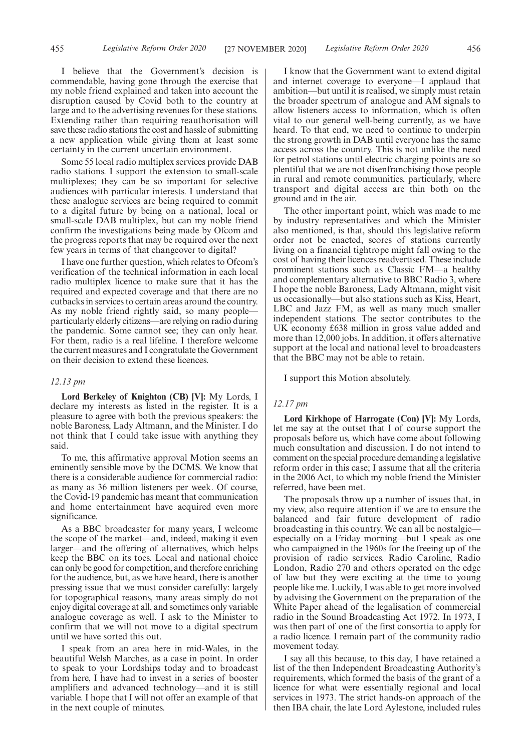I believe that the Government's decision is commendable, having gone through the exercise that my noble friend explained and taken into account the disruption caused by Covid both to the country at large and to the advertising revenues for these stations. Extending rather than requiring reauthorisation will save these radio stations the cost and hassle of submitting a new application while giving them at least some certainty in the current uncertain environment.

Some 55 local radio multiplex services provide DAB radio stations. I support the extension to small-scale multiplexes; they can be so important for selective audiences with particular interests. I understand that these analogue services are being required to commit to a digital future by being on a national, local or small-scale DAB multiplex, but can my noble friend confirm the investigations being made by Ofcom and the progress reports that may be required over the next few years in terms of that changeover to digital?

I have one further question, which relates to Ofcom's verification of the technical information in each local radio multiplex licence to make sure that it has the required and expected coverage and that there are no cutbacks in services to certain areas around the country. As my noble friend rightly said, so many people particularly elderly citizens—are relying on radio during the pandemic. Some cannot see; they can only hear. For them, radio is a real lifeline. I therefore welcome the current measures and I congratulate the Government on their decision to extend these licences.

#### *12.13 pm*

**Lord Berkeley of Knighton (CB) [V]:** My Lords, I declare my interests as listed in the register. It is a pleasure to agree with both the previous speakers: the noble Baroness, Lady Altmann, and the Minister. I do not think that I could take issue with anything they said.

To me, this affirmative approval Motion seems an eminently sensible move by the DCMS. We know that there is a considerable audience for commercial radio: as many as 36 million listeners per week. Of course, the Covid-19 pandemic has meant that communication and home entertainment have acquired even more significance.

As a BBC broadcaster for many years, I welcome the scope of the market—and, indeed, making it even larger—and the offering of alternatives, which helps keep the BBC on its toes. Local and national choice can only be good for competition, and therefore enriching for the audience, but, as we have heard, there is another pressing issue that we must consider carefully: largely for topographical reasons, many areas simply do not enjoy digital coverage at all, and sometimes only variable analogue coverage as well. I ask to the Minister to confirm that we will not move to a digital spectrum until we have sorted this out.

I speak from an area here in mid-Wales, in the beautiful Welsh Marches, as a case in point. In order to speak to your Lordships today and to broadcast from here, I have had to invest in a series of booster amplifiers and advanced technology—and it is still variable. I hope that I will not offer an example of that in the next couple of minutes.

I know that the Government want to extend digital and internet coverage to everyone—I applaud that ambition—but until it is realised, we simply must retain the broader spectrum of analogue and AM signals to allow listeners access to information, which is often vital to our general well-being currently, as we have heard. To that end, we need to continue to underpin the strong growth in DAB until everyone has the same access across the country. This is not unlike the need for petrol stations until electric charging points are so plentiful that we are not disenfranchising those people in rural and remote communities, particularly, where transport and digital access are thin both on the ground and in the air.

The other important point, which was made to me by industry representatives and which the Minister also mentioned, is that, should this legislative reform order not be enacted, scores of stations currently living on a financial tightrope might fall owing to the cost of having their licences readvertised. These include prominent stations such as Classic FM—a healthy and complementary alternative to BBC Radio 3, where I hope the noble Baroness, Lady Altmann, might visit us occasionally—but also stations such as Kiss, Heart, LBC and Jazz FM, as well as many much smaller independent stations. The sector contributes to the UK economy £638 million in gross value added and more than 12,000 jobs. In addition, it offers alternative support at the local and national level to broadcasters that the BBC may not be able to retain.

I support this Motion absolutely.

#### *12.17 pm*

**Lord Kirkhope of Harrogate (Con) [V]:** My Lords, let me say at the outset that I of course support the proposals before us, which have come about following much consultation and discussion. I do not intend to comment on the special procedure demanding a legislative reform order in this case; I assume that all the criteria in the 2006 Act, to which my noble friend the Minister referred, have been met.

The proposals throw up a number of issues that, in my view, also require attention if we are to ensure the balanced and fair future development of radio broadcasting in this country. We can all be nostalgic especially on a Friday morning—but I speak as one who campaigned in the 1960s for the freeing up of the provision of radio services. Radio Caroline, Radio London, Radio 270 and others operated on the edge of law but they were exciting at the time to young people like me. Luckily, I was able to get more involved by advising the Government on the preparation of the White Paper ahead of the legalisation of commercial radio in the Sound Broadcasting Act 1972. In 1973, I was then part of one of the first consortia to apply for a radio licence. I remain part of the community radio movement today.

I say all this because, to this day, I have retained a list of the then Independent Broadcasting Authority's requirements, which formed the basis of the grant of a licence for what were essentially regional and local services in 1973. The strict hands-on approach of the then IBA chair, the late Lord Aylestone, included rules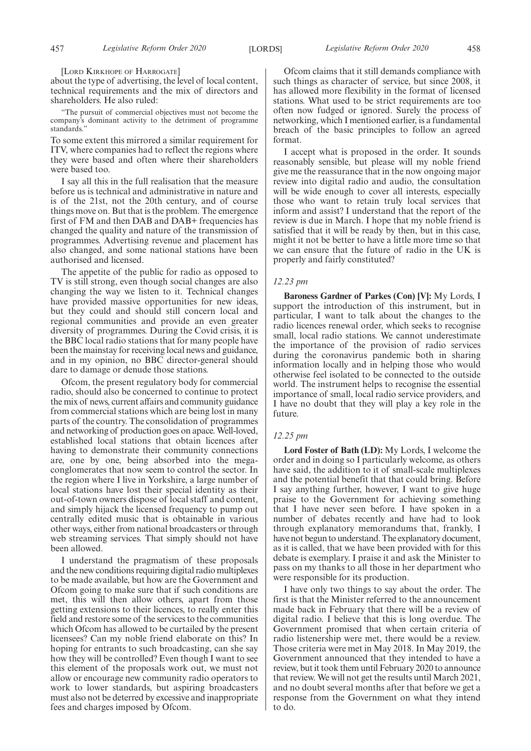[LORD KIRKHOPE OF HARROGATE]

about the type of advertising, the level of local content, technical requirements and the mix of directors and shareholders. He also ruled:

"The pursuit of commercial objectives must not become the company's dominant activity to the detriment of programme standards."

To some extent this mirrored a similar requirement for ITV, where companies had to reflect the regions where they were based and often where their shareholders were based too.

I say all this in the full realisation that the measure before us is technical and administrative in nature and is of the 21st, not the 20th century, and of course things move on. But that is the problem. The emergence first of FM and then DAB and DAB+ frequencies has changed the quality and nature of the transmission of programmes. Advertising revenue and placement has also changed, and some national stations have been authorised and licensed.

The appetite of the public for radio as opposed to TV is still strong, even though social changes are also changing the way we listen to it. Technical changes have provided massive opportunities for new ideas, but they could and should still concern local and regional communities and provide an even greater diversity of programmes. During the Covid crisis, it is the BBC local radio stations that for many people have been the mainstay for receiving local news and guidance, and in my opinion, no BBC director-general should dare to damage or denude those stations.

Ofcom, the present regulatory body for commercial radio, should also be concerned to continue to protect the mix of news, current affairs and community guidance from commercial stations which are being lost in many parts of the country. The consolidation of programmes and networking of production goes on apace. Well-loved, established local stations that obtain licences after having to demonstrate their community connections are, one by one, being absorbed into the megaconglomerates that now seem to control the sector. In the region where I live in Yorkshire, a large number of local stations have lost their special identity as their out-of-town owners dispose of local staff and content, and simply hijack the licensed frequency to pump out centrally edited music that is obtainable in various other ways, either from national broadcasters or through web streaming services. That simply should not have been allowed.

I understand the pragmatism of these proposals and the new conditions requiring digital radio multiplexes to be made available, but how are the Government and Ofcom going to make sure that if such conditions are met, this will then allow others, apart from those getting extensions to their licences, to really enter this field and restore some of the services to the communities which Ofcom has allowed to be curtailed by the present licensees? Can my noble friend elaborate on this? In hoping for entrants to such broadcasting, can she say how they will be controlled? Even though I want to see this element of the proposals work out, we must not allow or encourage new community radio operators to work to lower standards, but aspiring broadcasters must also not be deterred by excessive and inappropriate fees and charges imposed by Ofcom.

Ofcom claims that it still demands compliance with such things as character of service, but since 2008, it has allowed more flexibility in the format of licensed stations. What used to be strict requirements are too often now fudged or ignored. Surely the process of networking, which I mentioned earlier, is a fundamental breach of the basic principles to follow an agreed format.

I accept what is proposed in the order. It sounds reasonably sensible, but please will my noble friend give me the reassurance that in the now ongoing major review into digital radio and audio, the consultation will be wide enough to cover all interests, especially those who want to retain truly local services that inform and assist? I understand that the report of the review is due in March. I hope that my noble friend is satisfied that it will be ready by then, but in this case, might it not be better to have a little more time so that we can ensure that the future of radio in the UK is properly and fairly constituted?

#### *12.23 pm*

**Baroness Gardner of Parkes (Con) [V]:** My Lords, I support the introduction of this instrument, but in particular, I want to talk about the changes to the radio licences renewal order, which seeks to recognise small, local radio stations. We cannot underestimate the importance of the provision of radio services during the coronavirus pandemic both in sharing information locally and in helping those who would otherwise feel isolated to be connected to the outside world. The instrument helps to recognise the essential importance of small, local radio service providers, and I have no doubt that they will play a key role in the future.

#### *12.25 pm*

**Lord Foster of Bath (LD):** My Lords, I welcome the order and in doing so I particularly welcome, as others have said, the addition to it of small-scale multiplexes and the potential benefit that that could bring. Before I say anything further, however, I want to give huge praise to the Government for achieving something that I have never seen before. I have spoken in a number of debates recently and have had to look through explanatory memorandums that, frankly, I have not begun to understand. The explanatory document, as it is called, that we have been provided with for this debate is exemplary. I praise it and ask the Minister to pass on my thanks to all those in her department who were responsible for its production.

I have only two things to say about the order. The first is that the Minister referred to the announcement made back in February that there will be a review of digital radio. I believe that this is long overdue. The Government promised that when certain criteria of radio listenership were met, there would be a review. Those criteria were met in May 2018. In May 2019, the Government announced that they intended to have a review, but it took them until February 2020 to announce that review. We will not get the results until March 2021, and no doubt several months after that before we get a response from the Government on what they intend to do.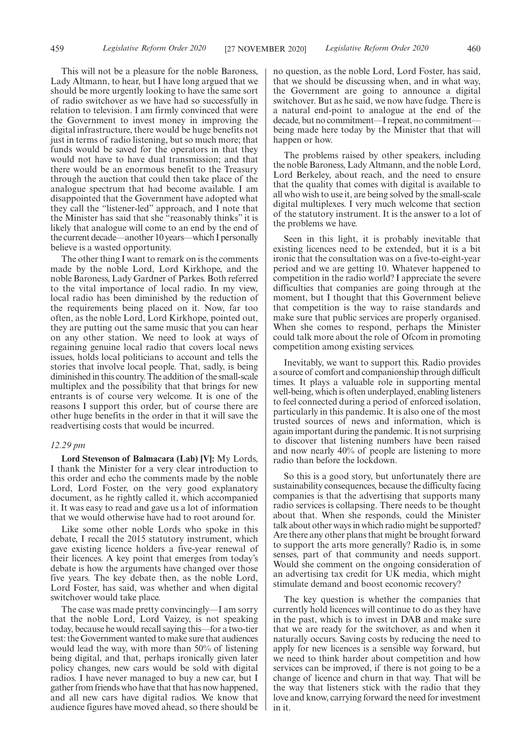This will not be a pleasure for the noble Baroness, Lady Altmann, to hear, but I have long argued that we should be more urgently looking to have the same sort of radio switchover as we have had so successfully in relation to television. I am firmly convinced that were the Government to invest money in improving the digital infrastructure, there would be huge benefits not just in terms of radio listening, but so much more; that funds would be saved for the operators in that they would not have to have dual transmission; and that there would be an enormous benefit to the Treasury through the auction that could then take place of the analogue spectrum that had become available. I am disappointed that the Government have adopted what they call the "listener-led" approach, and I note that the Minister has said that she "reasonably thinks" it is likely that analogue will come to an end by the end of the current decade—another 10 years—which I personally believe is a wasted opportunity.

The other thing I want to remark on is the comments made by the noble Lord, Lord Kirkhope, and the noble Baroness, Lady Gardner of Parkes. Both referred to the vital importance of local radio. In my view, local radio has been diminished by the reduction of the requirements being placed on it. Now, far too often, as the noble Lord, Lord Kirkhope, pointed out, they are putting out the same music that you can hear on any other station. We need to look at ways of regaining genuine local radio that covers local news issues, holds local politicians to account and tells the stories that involve local people. That, sadly, is being diminished in this country. The addition of the small-scale multiplex and the possibility that that brings for new entrants is of course very welcome. It is one of the reasons I support this order, but of course there are other huge benefits in the order in that it will save the readvertising costs that would be incurred.

#### *12.29 pm*

**Lord Stevenson of Balmacara (Lab) [V]:** My Lords, I thank the Minister for a very clear introduction to this order and echo the comments made by the noble Lord, Lord Foster, on the very good explanatory document, as he rightly called it, which accompanied it. It was easy to read and gave us a lot of information that we would otherwise have had to root around for.

Like some other noble Lords who spoke in this debate, I recall the 2015 statutory instrument, which gave existing licence holders a five-year renewal of their licences. A key point that emerges from today's debate is how the arguments have changed over those five years. The key debate then, as the noble Lord, Lord Foster, has said, was whether and when digital switchover would take place.

The case was made pretty convincingly—I am sorry that the noble Lord, Lord Vaizey, is not speaking today, because he would recall saying this—for a two-tier test: the Government wanted to make sure that audiences would lead the way, with more than 50% of listening being digital, and that, perhaps ironically given later policy changes, new cars would be sold with digital radios. I have never managed to buy a new car, but I gather from friends who have that that has now happened, and all new cars have digital radios. We know that audience figures have moved ahead, so there should be

no question, as the noble Lord, Lord Foster, has said, that we should be discussing when, and in what way, the Government are going to announce a digital switchover. But as he said, we now have fudge. There is a natural end-point to analogue at the end of the decade, but no commitment—I repeat, no commitment being made here today by the Minister that that will happen or how.

The problems raised by other speakers, including the noble Baroness, Lady Altmann, and the noble Lord, Lord Berkeley, about reach, and the need to ensure that the quality that comes with digital is available to all who wish to use it, are being solved by the small-scale digital multiplexes. I very much welcome that section of the statutory instrument. It is the answer to a lot of the problems we have.

Seen in this light, it is probably inevitable that existing licences need to be extended, but it is a bit ironic that the consultation was on a five-to-eight-year period and we are getting 10. Whatever happened to competition in the radio world? I appreciate the severe difficulties that companies are going through at the moment, but I thought that this Government believe that competition is the way to raise standards and make sure that public services are properly organised. When she comes to respond, perhaps the Minister could talk more about the role of Ofcom in promoting competition among existing services.

Inevitably, we want to support this. Radio provides a source of comfort and companionship through difficult times. It plays a valuable role in supporting mental well-being, which is often underplayed, enabling listeners to feel connected during a period of enforced isolation, particularly in this pandemic. It is also one of the most trusted sources of news and information, which is again important during the pandemic. It is not surprising to discover that listening numbers have been raised and now nearly 40% of people are listening to more radio than before the lockdown.

So this is a good story, but unfortunately there are sustainability consequences, because the difficulty facing companies is that the advertising that supports many radio services is collapsing. There needs to be thought about that. When she responds, could the Minister talk about other ways in which radio might be supported? Are there any other plans that might be brought forward to support the arts more generally? Radio is, in some senses, part of that community and needs support. Would she comment on the ongoing consideration of an advertising tax credit for UK media, which might stimulate demand and boost economic recovery?

The key question is whether the companies that currently hold licences will continue to do as they have in the past, which is to invest in DAB and make sure that we are ready for the switchover, as and when it naturally occurs. Saving costs by reducing the need to apply for new licences is a sensible way forward, but we need to think harder about competition and how services can be improved, if there is not going to be a change of licence and churn in that way. That will be the way that listeners stick with the radio that they love and know, carrying forward the need for investment in it.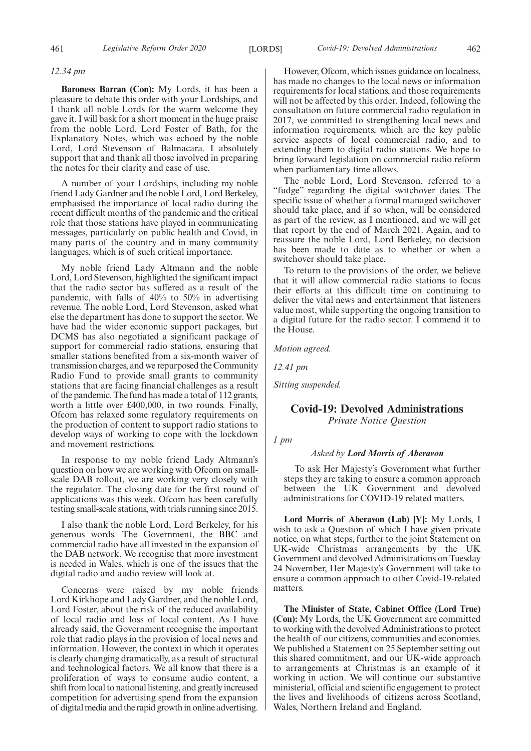#### *12.34 pm*

**Baroness Barran (Con):** My Lords, it has been a pleasure to debate this order with your Lordships, and I thank all noble Lords for the warm welcome they gave it. I will bask for a short moment in the huge praise from the noble Lord, Lord Foster of Bath, for the Explanatory Notes, which was echoed by the noble Lord, Lord Stevenson of Balmacara. I absolutely support that and thank all those involved in preparing the notes for their clarity and ease of use.

A number of your Lordships, including my noble friend Lady Gardner and the noble Lord, Lord Berkeley, emphasised the importance of local radio during the recent difficult months of the pandemic and the critical role that those stations have played in communicating messages, particularly on public health and Covid, in many parts of the country and in many community languages, which is of such critical importance.

My noble friend Lady Altmann and the noble Lord, Lord Stevenson, highlighted the significant impact that the radio sector has suffered as a result of the pandemic, with falls of 40% to 50% in advertising revenue. The noble Lord, Lord Stevenson, asked what else the department has done to support the sector. We have had the wider economic support packages, but DCMS has also negotiated a significant package of support for commercial radio stations, ensuring that smaller stations benefited from a six-month waiver of transmission charges, and we repurposed the Community Radio Fund to provide small grants to community stations that are facing financial challenges as a result of the pandemic. The fund has made a total of 112 grants, worth a little over £400,000, in two rounds. Finally, Ofcom has relaxed some regulatory requirements on the production of content to support radio stations to develop ways of working to cope with the lockdown and movement restrictions.

In response to my noble friend Lady Altmann's question on how we are working with Ofcom on smallscale DAB rollout, we are working very closely with the regulator. The closing date for the first round of applications was this week. Ofcom has been carefully testing small-scale stations, with trials running since 2015.

I also thank the noble Lord, Lord Berkeley, for his generous words. The Government, the BBC and commercial radio have all invested in the expansion of the DAB network. We recognise that more investment is needed in Wales, which is one of the issues that the digital radio and audio review will look at.

Concerns were raised by my noble friends Lord Kirkhope and Lady Gardner, and the noble Lord, Lord Foster, about the risk of the reduced availability of local radio and loss of local content. As I have already said, the Government recognise the important role that radio plays in the provision of local news and information. However, the context in which it operates is clearly changing dramatically, as a result of structural and technological factors. We all know that there is a proliferation of ways to consume audio content, a shift from local to national listening, and greatly increased competition for advertising spend from the expansion of digital media and the rapid growth in online advertising.

However, Ofcom, which issues guidance on localness, has made no changes to the local news or information requirements for local stations, and those requirements will not be affected by this order. Indeed, following the consultation on future commercial radio regulation in 2017, we committed to strengthening local news and information requirements, which are the key public service aspects of local commercial radio, and to extending them to digital radio stations. We hope to bring forward legislation on commercial radio reform when parliamentary time allows.

The noble Lord, Lord Stevenson, referred to a "fudge" regarding the digital switchover dates. The specific issue of whether a formal managed switchover should take place, and if so when, will be considered as part of the review, as I mentioned, and we will get that report by the end of March 2021. Again, and to reassure the noble Lord, Lord Berkeley, no decision has been made to date as to whether or when a switchover should take place.

To return to the provisions of the order, we believe that it will allow commercial radio stations to focus their efforts at this difficult time on continuing to deliver the vital news and entertainment that listeners value most, while supporting the ongoing transition to a digital future for the radio sector. I commend it to the House.

*Motion agreed.*

*12.41 pm*

*Sitting suspended.*

## **Covid-19: Devolved Administrations**

*Private Notice Question*

*1 pm*

#### *Asked by Lord Morris of Aberavon*

To ask Her Majesty's Government what further steps they are taking to ensure a common approach between the UK Government and devolved administrations for COVID-19 related matters.

**Lord Morris of Aberavon (Lab) [V]:** My Lords, I wish to ask a Question of which I have given private notice, on what steps, further to the joint Statement on UK-wide Christmas arrangements by the UK Government and devolved Administrations on Tuesday 24 November, Her Majesty's Government will take to ensure a common approach to other Covid-19-related matters.

**The Minister of State, Cabinet Office (Lord True) (Con):** My Lords, the UK Government are committed to working with the devolved Administrations to protect the health of our citizens, communities and economies. We published a Statement on 25 September setting out this shared commitment, and our UK-wide approach to arrangements at Christmas is an example of it working in action. We will continue our substantive ministerial, official and scientific engagement to protect the lives and livelihoods of citizens across Scotland, Wales, Northern Ireland and England.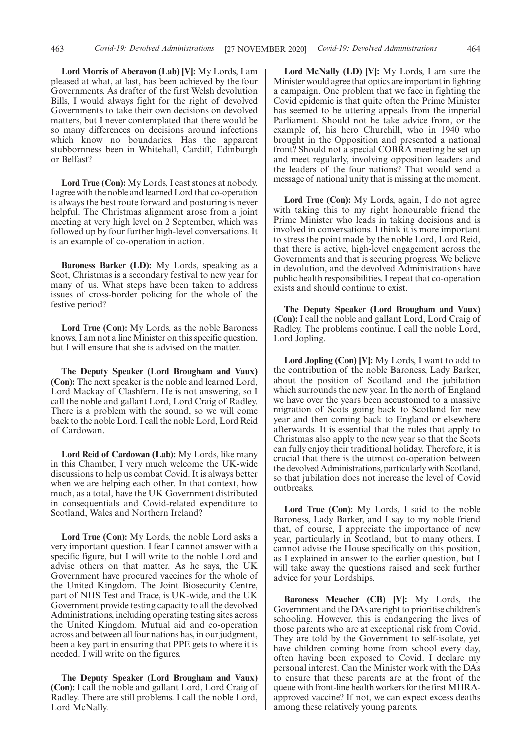**Lord Morris of Aberavon (Lab) [V]:** My Lords, I am pleased at what, at last, has been achieved by the four Governments. As drafter of the first Welsh devolution Bills, I would always fight for the right of devolved Governments to take their own decisions on devolved matters, but I never contemplated that there would be so many differences on decisions around infections which know no boundaries. Has the apparent stubbornness been in Whitehall, Cardiff, Edinburgh or Belfast?

**Lord True (Con):** My Lords, I cast stones at nobody. I agree with the noble and learned Lord that co-operation is always the best route forward and posturing is never helpful. The Christmas alignment arose from a joint meeting at very high level on 2 September, which was followed up by four further high-level conversations. It is an example of co-operation in action.

**Baroness Barker (LD):** My Lords, speaking as a Scot, Christmas is a secondary festival to new year for many of us. What steps have been taken to address issues of cross-border policing for the whole of the festive period?

**Lord True (Con):** My Lords, as the noble Baroness knows, I am not a line Minister on this specific question, but I will ensure that she is advised on the matter.

**The Deputy Speaker (Lord Brougham and Vaux) (Con):** The next speaker is the noble and learned Lord, Lord Mackay of Clashfern. He is not answering, so I call the noble and gallant Lord, Lord Craig of Radley. There is a problem with the sound, so we will come back to the noble Lord. I call the noble Lord, Lord Reid of Cardowan.

**Lord Reid of Cardowan (Lab):** My Lords, like many in this Chamber, I very much welcome the UK-wide discussions to help us combat Covid. It is always better when we are helping each other. In that context, how much, as a total, have the UK Government distributed in consequentials and Covid-related expenditure to Scotland, Wales and Northern Ireland?

**Lord True (Con):** My Lords, the noble Lord asks a very important question. I fear I cannot answer with a specific figure, but I will write to the noble Lord and advise others on that matter. As he says, the UK Government have procured vaccines for the whole of the United Kingdom. The Joint Biosecurity Centre, part of NHS Test and Trace, is UK-wide, and the UK Government provide testing capacity to all the devolved Administrations, including operating testing sites across the United Kingdom. Mutual aid and co-operation across and between all four nations has, in our judgment, been a key part in ensuring that PPE gets to where it is needed. I will write on the figures.

**The Deputy Speaker (Lord Brougham and Vaux) (Con):** I call the noble and gallant Lord, Lord Craig of Radley. There are still problems. I call the noble Lord, Lord McNally.

**Lord McNally (LD) [V]:** My Lords, I am sure the Minister would agree that optics are important in fighting a campaign. One problem that we face in fighting the Covid epidemic is that quite often the Prime Minister has seemed to be uttering appeals from the imperial Parliament. Should not he take advice from, or the example of, his hero Churchill, who in 1940 who brought in the Opposition and presented a national front? Should not a special COBRA meeting be set up and meet regularly, involving opposition leaders and the leaders of the four nations? That would send a message of national unity that is missing at the moment.

**Lord True (Con):** My Lords, again, I do not agree with taking this to my right honourable friend the Prime Minister who leads in taking decisions and is involved in conversations. I think it is more important to stress the point made by the noble Lord, Lord Reid, that there is active, high-level engagement across the Governments and that is securing progress. We believe in devolution, and the devolved Administrations have public health responsibilities. I repeat that co-operation exists and should continue to exist.

**The Deputy Speaker (Lord Brougham and Vaux) (Con):** I call the noble and gallant Lord, Lord Craig of Radley. The problems continue. I call the noble Lord, Lord Jopling.

**Lord Jopling (Con) [V]:** My Lords, I want to add to the contribution of the noble Baroness, Lady Barker, about the position of Scotland and the jubilation which surrounds the new year. In the north of England we have over the years been accustomed to a massive migration of Scots going back to Scotland for new year and then coming back to England or elsewhere afterwards. It is essential that the rules that apply to Christmas also apply to the new year so that the Scots can fully enjoy their traditional holiday. Therefore, it is crucial that there is the utmost co-operation between the devolved Administrations, particularly with Scotland, so that jubilation does not increase the level of Covid outbreaks.

**Lord True (Con):** My Lords, I said to the noble Baroness, Lady Barker, and I say to my noble friend that, of course, I appreciate the importance of new year, particularly in Scotland, but to many others. I cannot advise the House specifically on this position, as I explained in answer to the earlier question, but I will take away the questions raised and seek further advice for your Lordships.

**Baroness Meacher (CB) [V]:** My Lords, the Government and the DAs are right to prioritise children's schooling. However, this is endangering the lives of those parents who are at exceptional risk from Covid. They are told by the Government to self-isolate, yet have children coming home from school every day, often having been exposed to Covid. I declare my personal interest. Can the Minister work with the DAs to ensure that these parents are at the front of the queue with front-line health workers for the first MHRAapproved vaccine? If not, we can expect excess deaths among these relatively young parents.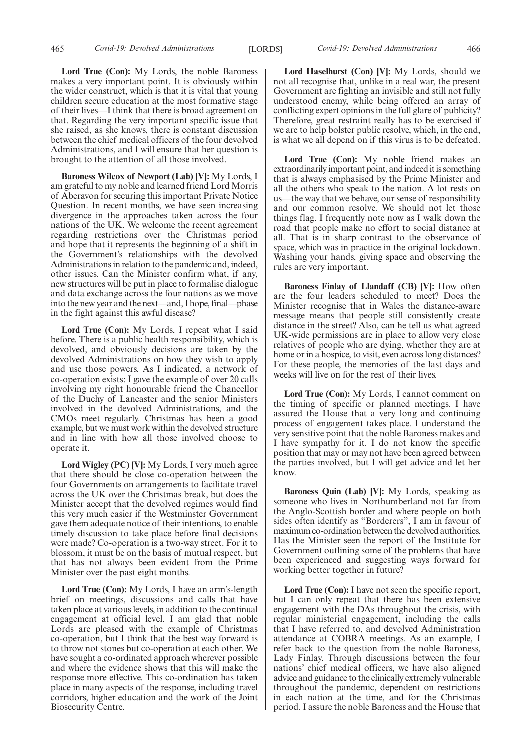**Lord True (Con):** My Lords, the noble Baroness makes a very important point. It is obviously within the wider construct, which is that it is vital that young children secure education at the most formative stage of their lives—I think that there is broad agreement on that. Regarding the very important specific issue that she raised, as she knows, there is constant discussion between the chief medical officers of the four devolved Administrations, and I will ensure that her question is brought to the attention of all those involved.

**Baroness Wilcox of Newport (Lab) [V]:** My Lords, I am grateful to my noble and learned friend Lord Morris of Aberavon for securing this important Private Notice Question. In recent months, we have seen increasing divergence in the approaches taken across the four nations of the UK. We welcome the recent agreement regarding restrictions over the Christmas period and hope that it represents the beginning of a shift in the Government's relationships with the devolved Administrations in relation to the pandemic and, indeed, other issues. Can the Minister confirm what, if any, new structures will be put in place to formalise dialogue and data exchange across the four nations as we move into the new year and the next—and, I hope, final—phase in the fight against this awful disease?

**Lord True (Con):** My Lords, I repeat what I said before. There is a public health responsibility, which is devolved, and obviously decisions are taken by the devolved Administrations on how they wish to apply and use those powers. As I indicated, a network of co-operation exists: I gave the example of over 20 calls involving my right honourable friend the Chancellor of the Duchy of Lancaster and the senior Ministers involved in the devolved Administrations, and the CMOs meet regularly. Christmas has been a good example, but we must work within the devolved structure and in line with how all those involved choose to operate it.

**Lord Wigley (PC) [V]:** My Lords, I very much agree that there should be close co-operation between the four Governments on arrangements to facilitate travel across the UK over the Christmas break, but does the Minister accept that the devolved regimes would find this very much easier if the Westminster Government gave them adequate notice of their intentions, to enable timely discussion to take place before final decisions were made? Co-operation is a two-way street. For it to blossom, it must be on the basis of mutual respect, but that has not always been evident from the Prime Minister over the past eight months.

**Lord True (Con):** My Lords, I have an arm's-length brief on meetings, discussions and calls that have taken place at various levels, in addition to the continual engagement at official level. I am glad that noble Lords are pleased with the example of Christmas co-operation, but I think that the best way forward is to throw not stones but co-operation at each other. We have sought a co-ordinated approach wherever possible and where the evidence shows that this will make the response more effective. This co-ordination has taken place in many aspects of the response, including travel corridors, higher education and the work of the Joint Biosecurity Centre.

**Lord Haselhurst (Con) [V]:** My Lords, should we not all recognise that, unlike in a real war, the present Government are fighting an invisible and still not fully understood enemy, while being offered an array of conflicting expert opinions in the full glare of publicity? Therefore, great restraint really has to be exercised if we are to help bolster public resolve, which, in the end, is what we all depend on if this virus is to be defeated.

Lord True (Con): My noble friend makes an extraordinarily important point, and indeed it is something that is always emphasised by the Prime Minister and all the others who speak to the nation. A lot rests on us—the way that we behave, our sense of responsibility and our common resolve. We should not let those things flag. I frequently note now as I walk down the road that people make no effort to social distance at all. That is in sharp contrast to the observance of space, which was in practice in the original lockdown. Washing your hands, giving space and observing the rules are very important.

**Baroness Finlay of Llandaff (CB) [V]:** How often are the four leaders scheduled to meet? Does the Minister recognise that in Wales the distance-aware message means that people still consistently create distance in the street? Also, can he tell us what agreed UK-wide permissions are in place to allow very close relatives of people who are dying, whether they are at home or in a hospice, to visit, even across long distances? For these people, the memories of the last days and weeks will live on for the rest of their lives.

**Lord True (Con):** My Lords, I cannot comment on the timing of specific or planned meetings. I have assured the House that a very long and continuing process of engagement takes place. I understand the very sensitive point that the noble Baroness makes and I have sympathy for it. I do not know the specific position that may or may not have been agreed between the parties involved, but I will get advice and let her know.

**Baroness Quin (Lab) [V]:** My Lords, speaking as someone who lives in Northumberland not far from the Anglo-Scottish border and where people on both sides often identify as "Borderers", I am in favour of maximum co-ordination between the devolved authorities. Has the Minister seen the report of the Institute for Government outlining some of the problems that have been experienced and suggesting ways forward for working better together in future?

**Lord True (Con):** I have not seen the specific report, but I can only repeat that there has been extensive engagement with the DAs throughout the crisis, with regular ministerial engagement, including the calls that I have referred to, and devolved Administration attendance at COBRA meetings. As an example, I refer back to the question from the noble Baroness, Lady Finlay. Through discussions between the four nations' chief medical officers, we have also aligned advice and guidance to the clinically extremely vulnerable throughout the pandemic, dependent on restrictions in each nation at the time, and for the Christmas period. I assure the noble Baroness and the House that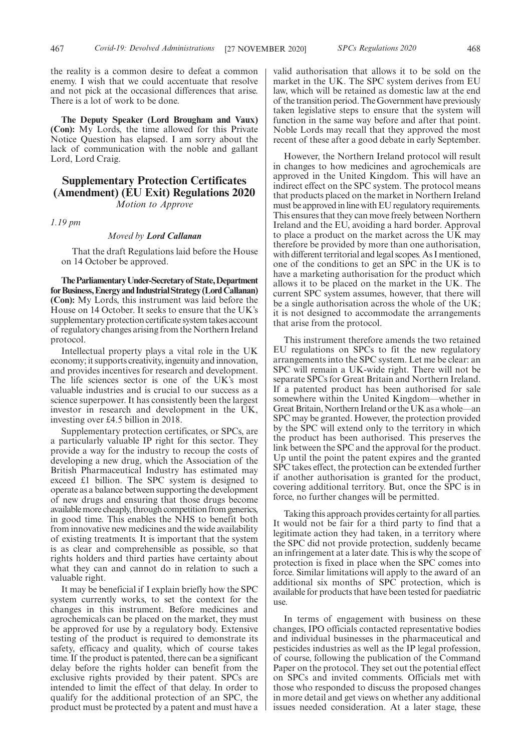the reality is a common desire to defeat a common enemy. I wish that we could accentuate that resolve and not pick at the occasional differences that arise. There is a lot of work to be done.

**The Deputy Speaker (Lord Brougham and Vaux) (Con):** My Lords, the time allowed for this Private Notice Question has elapsed. I am sorry about the lack of communication with the noble and gallant Lord, Lord Craig.

# **Supplementary Protection Certificates (Amendment) (EU Exit) Regulations 2020**

*Motion to Approve*

*1.19 pm*

#### *Moved by Lord Callanan*

That the draft Regulations laid before the House on 14 October be approved.

**TheParliamentaryUnder-Secretaryof State,Department** for Business, Energy and Industrial Strategy (Lord Callanan) **(Con):** My Lords, this instrument was laid before the House on 14 October. It seeks to ensure that the UK's supplementary protection certificate system takes account of regulatory changes arising from the Northern Ireland protocol.

Intellectual property plays a vital role in the UK economy; it supports creativity, ingenuity and innovation, and provides incentives for research and development. The life sciences sector is one of the UK's most valuable industries and is crucial to our success as a science superpower. It has consistently been the largest investor in research and development in the UK, investing over £4.5 billion in 2018.

Supplementary protection certificates, or SPCs, are a particularly valuable IP right for this sector. They provide a way for the industry to recoup the costs of developing a new drug, which the Association of the British Pharmaceutical Industry has estimated may exceed £1 billion. The SPC system is designed to operate as a balance between supporting the development of new drugs and ensuring that those drugs become available more cheaply, through competition from generics, in good time. This enables the NHS to benefit both from innovative new medicines and the wide availability of existing treatments. It is important that the system is as clear and comprehensible as possible, so that rights holders and third parties have certainty about what they can and cannot do in relation to such a valuable right.

It may be beneficial if I explain briefly how the SPC system currently works, to set the context for the changes in this instrument. Before medicines and agrochemicals can be placed on the market, they must be approved for use by a regulatory body. Extensive testing of the product is required to demonstrate its safety, efficacy and quality, which of course takes time. If the product is patented, there can be a significant delay before the rights holder can benefit from the exclusive rights provided by their patent. SPCs are intended to limit the effect of that delay. In order to qualify for the additional protection of an SPC, the product must be protected by a patent and must have a valid authorisation that allows it to be sold on the market in the UK. The SPC system derives from EU law, which will be retained as domestic law at the end of the transition period. The Government have previously taken legislative steps to ensure that the system will function in the same way before and after that point. Noble Lords may recall that they approved the most recent of these after a good debate in early September.

However, the Northern Ireland protocol will result in changes to how medicines and agrochemicals are approved in the United Kingdom. This will have an indirect effect on the SPC system. The protocol means that products placed on the market in Northern Ireland must be approved in line with EU regulatory requirements. This ensures that they can move freely between Northern Ireland and the EU, avoiding a hard border. Approval to place a product on the market across the UK may therefore be provided by more than one authorisation, with different territorial and legal scopes. As I mentioned, one of the conditions to get an SPC in the UK is to have a marketing authorisation for the product which allows it to be placed on the market in the UK. The current SPC system assumes, however, that there will be a single authorisation across the whole of the UK; it is not designed to accommodate the arrangements that arise from the protocol.

This instrument therefore amends the two retained EU regulations on SPCs to fit the new regulatory arrangements into the SPC system. Let me be clear: an SPC will remain a UK-wide right. There will not be separate SPCs for Great Britain and Northern Ireland. If a patented product has been authorised for sale somewhere within the United Kingdom—whether in Great Britain, Northern Ireland or the UK as a whole—an SPC may be granted. However, the protection provided by the SPC will extend only to the territory in which the product has been authorised. This preserves the link between the SPC and the approval for the product. Up until the point the patent expires and the granted SPC takes effect, the protection can be extended further if another authorisation is granted for the product, covering additional territory. But, once the SPC is in force, no further changes will be permitted.

Taking this approach provides certainty for all parties. It would not be fair for a third party to find that a legitimate action they had taken, in a territory where the SPC did not provide protection, suddenly became an infringement at a later date. This is why the scope of protection is fixed in place when the SPC comes into force. Similar limitations will apply to the award of an additional six months of SPC protection, which is available for products that have been tested for paediatric use.

In terms of engagement with business on these changes, IPO officials contacted representative bodies and individual businesses in the pharmaceutical and pesticides industries as well as the IP legal profession, of course, following the publication of the Command Paper on the protocol. They set out the potential effect on SPCs and invited comments. Officials met with those who responded to discuss the proposed changes in more detail and get views on whether any additional issues needed consideration. At a later stage, these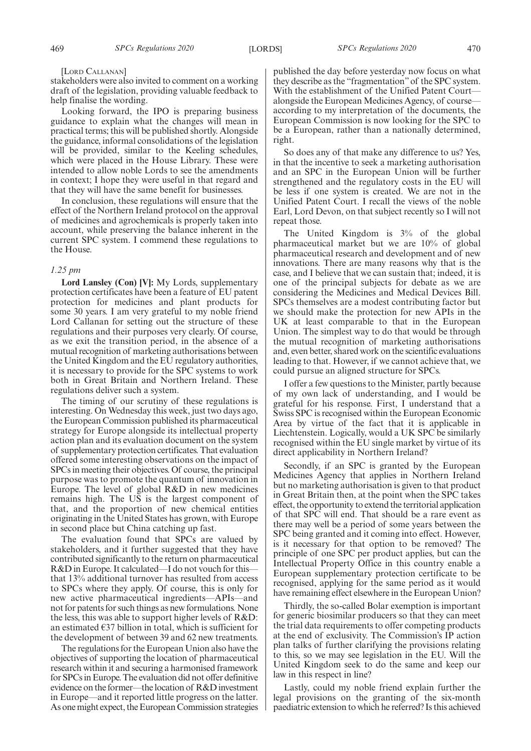#### [LORD CALLANAN]

stakeholders were also invited to comment on a working draft of the legislation, providing valuable feedback to help finalise the wording.

Looking forward, the IPO is preparing business guidance to explain what the changes will mean in practical terms; this will be published shortly. Alongside the guidance, informal consolidations of the legislation will be provided, similar to the Keeling schedules, which were placed in the House Library. These were intended to allow noble Lords to see the amendments in context; I hope they were useful in that regard and that they will have the same benefit for businesses.

In conclusion, these regulations will ensure that the effect of the Northern Ireland protocol on the approval of medicines and agrochemicals is properly taken into account, while preserving the balance inherent in the current SPC system. I commend these regulations to the House.

#### *1.25 pm*

**Lord Lansley (Con) [V]:** My Lords, supplementary protection certificates have been a feature of EU patent protection for medicines and plant products for some 30 years. I am very grateful to my noble friend Lord Callanan for setting out the structure of these regulations and their purposes very clearly. Of course, as we exit the transition period, in the absence of a mutual recognition of marketing authorisations between the United Kingdom and the EU regulatory authorities, it is necessary to provide for the SPC systems to work both in Great Britain and Northern Ireland. These regulations deliver such a system.

The timing of our scrutiny of these regulations is interesting. On Wednesday this week, just two days ago, the European Commission published its pharmaceutical strategy for Europe alongside its intellectual property action plan and its evaluation document on the system of supplementary protection certificates. That evaluation offered some interesting observations on the impact of SPCs in meeting their objectives. Of course, the principal purpose was to promote the quantum of innovation in Europe. The level of global R&D in new medicines remains high. The US is the largest component of that, and the proportion of new chemical entities originating in the United States has grown, with Europe in second place but China catching up fast.

The evaluation found that SPCs are valued by stakeholders, and it further suggested that they have contributed significantly to the return on pharmaceutical R&D in Europe. It calculated—I do not vouch for this that 13% additional turnover has resulted from access to SPCs where they apply. Of course, this is only for new active pharmaceutical ingredients—APIs—and not for patents for such things as new formulations. None the less, this was able to support higher levels of R&D: an estimated  $\epsilon$ 37 billion in total, which is sufficient for the development of between 39 and 62 new treatments.

The regulations for the European Union also have the objectives of supporting the location of pharmaceutical research within it and securing a harmonised framework for SPCs in Europe. The evaluation did not offer definitive evidence on the former—the location of R&D investment in Europe—and it reported little progress on the latter. As one might expect, the European Commission strategies published the day before yesterday now focus on what they describe as the "fragmentation"of the SPC system. With the establishment of the Unified Patent Court alongside the European Medicines Agency, of course according to my interpretation of the documents, the European Commission is now looking for the SPC to be a European, rather than a nationally determined, right.

So does any of that make any difference to us? Yes, in that the incentive to seek a marketing authorisation and an SPC in the European Union will be further strengthened and the regulatory costs in the EU will be less if one system is created. We are not in the Unified Patent Court. I recall the views of the noble Earl, Lord Devon, on that subject recently so I will not repeat those.

The United Kingdom is 3% of the global pharmaceutical market but we are 10% of global pharmaceutical research and development and of new innovations. There are many reasons why that is the case, and I believe that we can sustain that; indeed, it is one of the principal subjects for debate as we are considering the Medicines and Medical Devices Bill. SPCs themselves are a modest contributing factor but we should make the protection for new APIs in the UK at least comparable to that in the European Union. The simplest way to do that would be through the mutual recognition of marketing authorisations and, even better, shared work on the scientific evaluations leading to that. However, if we cannot achieve that, we could pursue an aligned structure for SPCs.

I offer a few questions to the Minister, partly because of my own lack of understanding, and I would be grateful for his response. First, I understand that a Swiss SPC is recognised within the European Economic Area by virtue of the fact that it is applicable in Liechtenstein. Logically, would a UK SPC be similarly recognised within the EU single market by virtue of its direct applicability in Northern Ireland?

Secondly, if an SPC is granted by the European Medicines Agency that applies in Northern Ireland but no marketing authorisation is given to that product in Great Britain then, at the point when the SPC takes effect, the opportunity to extend the territorial application of that SPC will end. That should be a rare event as there may well be a period of some years between the SPC being granted and it coming into effect. However, is it necessary for that option to be removed? The principle of one SPC per product applies, but can the Intellectual Property Office in this country enable a European supplementary protection certificate to be recognised, applying for the same period as it would have remaining effect elsewhere in the European Union?

Thirdly, the so-called Bolar exemption is important for generic biosimilar producers so that they can meet the trial data requirements to offer competing products at the end of exclusivity. The Commission's IP action plan talks of further clarifying the provisions relating to this, so we may see legislation in the EU. Will the United Kingdom seek to do the same and keep our law in this respect in line?

Lastly, could my noble friend explain further the legal provisions on the granting of the six-month paediatric extension to which he referred? Is this achieved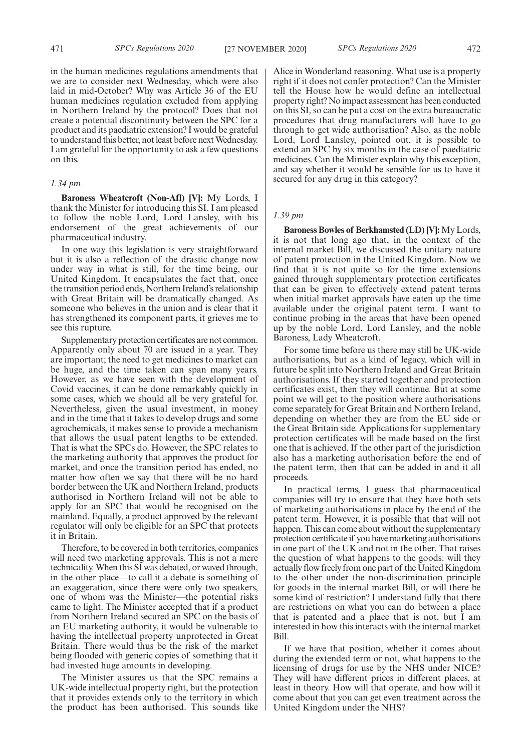in the human medicines regulations amendments that we are to consider next Wednesday, which were also laid in mid-October? Why was Article 36 of the EU human medicines regulation excluded from applying in Northern Ireland by the protocol? Does that not create a potential discontinuity between the SPC for a product and its paediatric extension? I would be grateful to understand this better, not least before next Wednesday. I am grateful for the opportunity to ask a few questions on this.

#### *1.34 pm*

**Baroness Wheatcroft (Non-Afl) [V]:** My Lords, I thank the Minister for introducing this SI. I am pleased to follow the noble Lord, Lord Lansley, with his endorsement of the great achievements of our pharmaceutical industry.

In one way this legislation is very straightforward but it is also a reflection of the drastic change now under way in what is still, for the time being, our United Kingdom. It encapsulates the fact that, once the transition period ends, Northern Ireland's relationship with Great Britain will be dramatically changed. As someone who believes in the union and is clear that it has strengthened its component parts, it grieves me to see this rupture.

Supplementary protection certificates are not common. Apparently only about 70 are issued in a year. They are important; the need to get medicines to market can be huge, and the time taken can span many years. However, as we have seen with the development of Covid vaccines, it can be done remarkably quickly in some cases, which we should all be very grateful for. Nevertheless, given the usual investment, in money and in the time that it takes to develop drugs and some agrochemicals, it makes sense to provide a mechanism that allows the usual patent lengths to be extended. That is what the SPCs do. However, the SPC relates to the marketing authority that approves the product for market, and once the transition period has ended, no matter how often we say that there will be no hard border between the UK and Northern Ireland, products authorised in Northern Ireland will not be able to apply for an SPC that would be recognised on the mainland. Equally, a product approved by the relevant regulator will only be eligible for an SPC that protects it in Britain.

Therefore, to be covered in both territories, companies will need two marketing approvals. This is not a mere technicality. When this SI was debated, or waved through, in the other place—to call it a debate is something of an exaggeration, since there were only two speakers, one of whom was the Minister—the potential risks came to light. The Minister accepted that if a product from Northern Ireland secured an SPC on the basis of an EU marketing authority, it would be vulnerable to having the intellectual property unprotected in Great Britain. There would thus be the risk of the market being flooded with generic copies of something that it had invested huge amounts in developing.

The Minister assures us that the SPC remains a UK-wide intellectual property right, but the protection that it provides extends only to the territory in which the product has been authorised. This sounds like Alice in Wonderland reasoning. What use is a property right if it does not confer protection? Can the Minister tell the House how he would define an intellectual property right? No impact assessment has been conducted on this SI, so can he put a cost on the extra bureaucratic procedures that drug manufacturers will have to go through to get wide authorisation? Also, as the noble Lord, Lord Lansley, pointed out, it is possible to extend an SPC by six months in the case of paediatric medicines. Can the Minister explain why this exception, and say whether it would be sensible for us to have it secured for any drug in this category?

#### *1.39 pm*

**Baroness Bowles of Berkhamsted (LD) [V]:** My Lords, it is not that long ago that, in the context of the internal market Bill, we discussed the unitary nature of patent protection in the United Kingdom. Now we find that it is not quite so for the time extensions gained through supplementary protection certificates that can be given to effectively extend patent terms when initial market approvals have eaten up the time available under the original patent term. I want to continue probing in the areas that have been opened up by the noble Lord, Lord Lansley, and the noble Baroness, Lady Wheatcroft.

For some time before us there may still be UK-wide authorisations, but as a kind of legacy, which will in future be split into Northern Ireland and Great Britain authorisations. If they started together and protection certificates exist, then they will continue. But at some point we will get to the position where authorisations come separately for Great Britain and Northern Ireland, depending on whether they are from the EU side or the Great Britain side. Applications for supplementary protection certificates will be made based on the first one that is achieved. If the other part of the jurisdiction also has a marketing authorisation before the end of the patent term, then that can be added in and it all proceeds.

In practical terms, I guess that pharmaceutical companies will try to ensure that they have both sets of marketing authorisations in place by the end of the patent term. However, it is possible that that will not happen. This can come about without the supplementary protection certificate if you have marketing authorisations in one part of the UK and not in the other. That raises the question of what happens to the goods: will they actually flow freely from one part of the United Kingdom to the other under the non-discrimination principle for goods in the internal market Bill, or will there be some kind of restriction? I understand fully that there are restrictions on what you can do between a place that is patented and a place that is not, but I am interested in how this interacts with the internal market Bill.

If we have that position, whether it comes about during the extended term or not, what happens to the licensing of drugs for use by the NHS under NICE? They will have different prices in different places, at least in theory. How will that operate, and how will it come about that you can get even treatment across the United Kingdom under the NHS?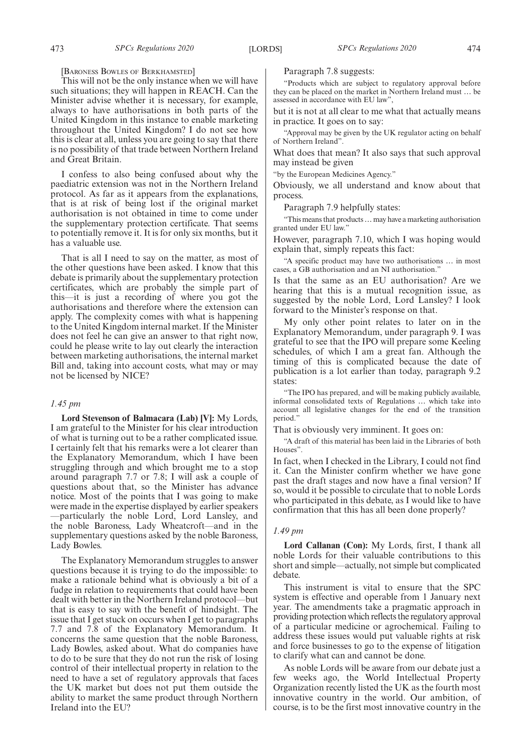[BARONESS BOWLES OF BERKHAMSTED]

This will not be the only instance when we will have such situations; they will happen in REACH. Can the Minister advise whether it is necessary, for example, always to have authorisations in both parts of the United Kingdom in this instance to enable marketing throughout the United Kingdom? I do not see how this is clear at all, unless you are going to say that there is no possibility of that trade between Northern Ireland and Great Britain.

I confess to also being confused about why the paediatric extension was not in the Northern Ireland protocol. As far as it appears from the explanations, that is at risk of being lost if the original market authorisation is not obtained in time to come under the supplementary protection certificate. That seems to potentially remove it. It is for only six months, but it has a valuable use.

That is all I need to say on the matter, as most of the other questions have been asked. I know that this debate is primarily about the supplementary protection certificates, which are probably the simple part of this—it is just a recording of where you got the authorisations and therefore where the extension can apply. The complexity comes with what is happening to the United Kingdom internal market. If the Minister does not feel he can give an answer to that right now, could he please write to lay out clearly the interaction between marketing authorisations, the internal market Bill and, taking into account costs, what may or may not be licensed by NICE?

#### *1.45 pm*

**Lord Stevenson of Balmacara (Lab) [V]:** My Lords, I am grateful to the Minister for his clear introduction of what is turning out to be a rather complicated issue. I certainly felt that his remarks were a lot clearer than the Explanatory Memorandum, which I have been struggling through and which brought me to a stop around paragraph 7.7 or 7.8; I will ask a couple of questions about that, so the Minister has advance notice. Most of the points that I was going to make were made in the expertise displayed by earlier speakers —particularly the noble Lord, Lord Lansley, and the noble Baroness, Lady Wheatcroft—and in the supplementary questions asked by the noble Baroness, Lady Bowles.

The Explanatory Memorandum struggles to answer questions because it is trying to do the impossible: to make a rationale behind what is obviously a bit of a fudge in relation to requirements that could have been dealt with better in the Northern Ireland protocol—but that is easy to say with the benefit of hindsight. The issue that I get stuck on occurs when I get to paragraphs 7.7 and 7.8 of the Explanatory Memorandum. It concerns the same question that the noble Baroness, Lady Bowles, asked about. What do companies have to do to be sure that they do not run the risk of losing control of their intellectual property in relation to the need to have a set of regulatory approvals that faces the UK market but does not put them outside the ability to market the same product through Northern Ireland into the EU?

#### Paragraph 7.8 suggests:

"Products which are subject to regulatory approval before they can be placed on the market in Northern Ireland must … be assessed in accordance with EU law",

but it is not at all clear to me what that actually means in practice. It goes on to say:

"Approval may be given by the UK regulator acting on behalf of Northern Ireland".

What does that mean? It also says that such approval may instead be given

"by the European Medicines Agency."

Obviously, we all understand and know about that process.

Paragraph 7.9 helpfully states:

"This means that products…may have a marketing authorisation granted under EU law."

However, paragraph 7.10, which I was hoping would explain that, simply repeats this fact:

"A specific product may have two authorisations … in most cases, a GB authorisation and an NI authorisation."

Is that the same as an EU authorisation? Are we hearing that this is a mutual recognition issue, as suggested by the noble Lord, Lord Lansley? I look forward to the Minister's response on that.

My only other point relates to later on in the Explanatory Memorandum, under paragraph 9. I was grateful to see that the IPO will prepare some Keeling schedules, of which I am a great fan. Although the timing of this is complicated because the date of publication is a lot earlier than today, paragraph 9.2 states:

"The IPO has prepared, and will be making publicly available, informal consolidated texts of Regulations … which take into account all legislative changes for the end of the transition period."

That is obviously very imminent. It goes on:

"A draft of this material has been laid in the Libraries of both Houses".

In fact, when I checked in the Library, I could not find it. Can the Minister confirm whether we have gone past the draft stages and now have a final version? If so, would it be possible to circulate that to noble Lords who participated in this debate, as I would like to have confirmation that this has all been done properly?

#### *1.49 pm*

**Lord Callanan (Con):** My Lords, first, I thank all noble Lords for their valuable contributions to this short and simple—actually, not simple but complicated debate.

This instrument is vital to ensure that the SPC system is effective and operable from 1 January next year. The amendments take a pragmatic approach in providing protection which reflects the regulatory approval of a particular medicine or agrochemical. Failing to address these issues would put valuable rights at risk and force businesses to go to the expense of litigation to clarify what can and cannot be done.

As noble Lords will be aware from our debate just a few weeks ago, the World Intellectual Property Organization recently listed the UK as the fourth most innovative country in the world. Our ambition, of course, is to be the first most innovative country in the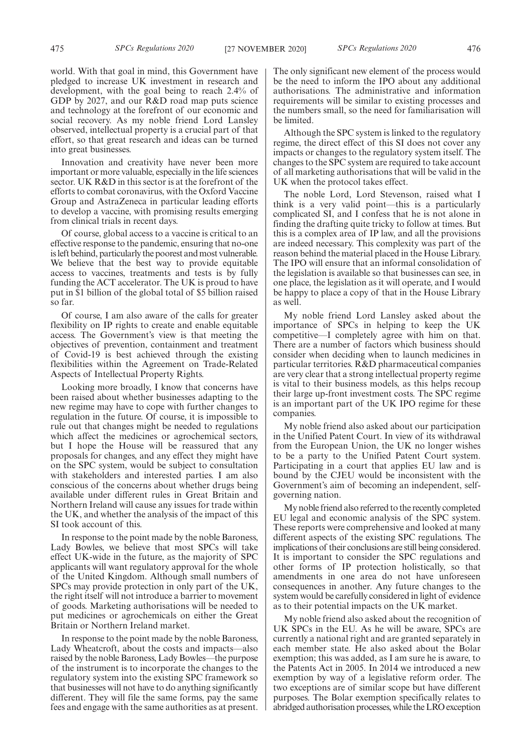world. With that goal in mind, this Government have pledged to increase UK investment in research and development, with the goal being to reach 2.4% of GDP by 2027, and our R&D road map puts science and technology at the forefront of our economic and social recovery. As my noble friend Lord Lansley observed, intellectual property is a crucial part of that effort, so that great research and ideas can be turned into great businesses.

Innovation and creativity have never been more important or more valuable, especially in the life sciences sector. UK R&D in this sector is at the forefront of the efforts to combat coronavirus, with the Oxford Vaccine Group and AstraZeneca in particular leading efforts to develop a vaccine, with promising results emerging from clinical trials in recent days.

Of course, global access to a vaccine is critical to an effective response to the pandemic, ensuring that no-one is left behind, particularly the poorest and most vulnerable. We believe that the best way to provide equitable access to vaccines, treatments and tests is by fully funding the ACT accelerator. The UK is proud to have put in \$1 billion of the global total of \$5 billion raised so far.

Of course, I am also aware of the calls for greater flexibility on IP rights to create and enable equitable access. The Government's view is that meeting the objectives of prevention, containment and treatment of Covid-19 is best achieved through the existing flexibilities within the Agreement on Trade-Related Aspects of Intellectual Property Rights.

Looking more broadly, I know that concerns have been raised about whether businesses adapting to the new regime may have to cope with further changes to regulation in the future. Of course, it is impossible to rule out that changes might be needed to regulations which affect the medicines or agrochemical sectors, but I hope the House will be reassured that any proposals for changes, and any effect they might have on the SPC system, would be subject to consultation with stakeholders and interested parties. I am also conscious of the concerns about whether drugs being available under different rules in Great Britain and Northern Ireland will cause any issues for trade within the UK, and whether the analysis of the impact of this SI took account of this.

In response to the point made by the noble Baroness, Lady Bowles, we believe that most SPCs will take effect UK-wide in the future, as the majority of SPC applicants will want regulatory approval for the whole of the United Kingdom. Although small numbers of SPCs may provide protection in only part of the UK, the right itself will not introduce a barrier to movement of goods. Marketing authorisations will be needed to put medicines or agrochemicals on either the Great Britain or Northern Ireland market.

In response to the point made by the noble Baroness, Lady Wheatcroft, about the costs and impacts—also raised by the noble Baroness, Lady Bowles—the purpose of the instrument is to incorporate the changes to the regulatory system into the existing SPC framework so that businesses will not have to do anything significantly different. They will file the same forms, pay the same fees and engage with the same authorities as at present.

The only significant new element of the process would be the need to inform the IPO about any additional authorisations. The administrative and information requirements will be similar to existing processes and the numbers small, so the need for familiarisation will be limited.

Although the SPC system is linked to the regulatory regime, the direct effect of this SI does not cover any impacts or changes to the regulatory system itself. The changes to the SPC system are required to take account of all marketing authorisations that will be valid in the UK when the protocol takes effect.

The noble Lord, Lord Stevenson, raised what I think is a very valid point—this is a particularly complicated SI, and I confess that he is not alone in finding the drafting quite tricky to follow at times. But this is a complex area of IP law, and all the provisions are indeed necessary. This complexity was part of the reason behind the material placed in the House Library. The IPO will ensure that an informal consolidation of the legislation is available so that businesses can see, in one place, the legislation as it will operate, and I would be happy to place a copy of that in the House Library as well.

My noble friend Lord Lansley asked about the importance of SPCs in helping to keep the UK competitive—I completely agree with him on that. There are a number of factors which business should consider when deciding when to launch medicines in particular territories. R&D pharmaceutical companies are very clear that a strong intellectual property regime is vital to their business models, as this helps recoup their large up-front investment costs. The SPC regime is an important part of the UK IPO regime for these companies.

My noble friend also asked about our participation in the Unified Patent Court. In view of its withdrawal from the European Union, the UK no longer wishes to be a party to the Unified Patent Court system. Participating in a court that applies EU law and is bound by the CJEU would be inconsistent with the Government's aim of becoming an independent, selfgoverning nation.

My noble friend also referred to the recently completed EU legal and economic analysis of the SPC system. These reports were comprehensive and looked at many different aspects of the existing SPC regulations. The implications of their conclusions are still being considered. It is important to consider the SPC regulations and other forms of IP protection holistically, so that amendments in one area do not have unforeseen consequences in another. Any future changes to the system would be carefully considered in light of evidence as to their potential impacts on the UK market.

My noble friend also asked about the recognition of UK SPCs in the EU. As he will be aware, SPCs are currently a national right and are granted separately in each member state. He also asked about the Bolar exemption; this was added, as I am sure he is aware, to the Patents Act in 2005. In 2014 we introduced a new exemption by way of a legislative reform order. The two exceptions are of similar scope but have different purposes. The Bolar exemption specifically relates to abridged authorisation processes, while the LRO exception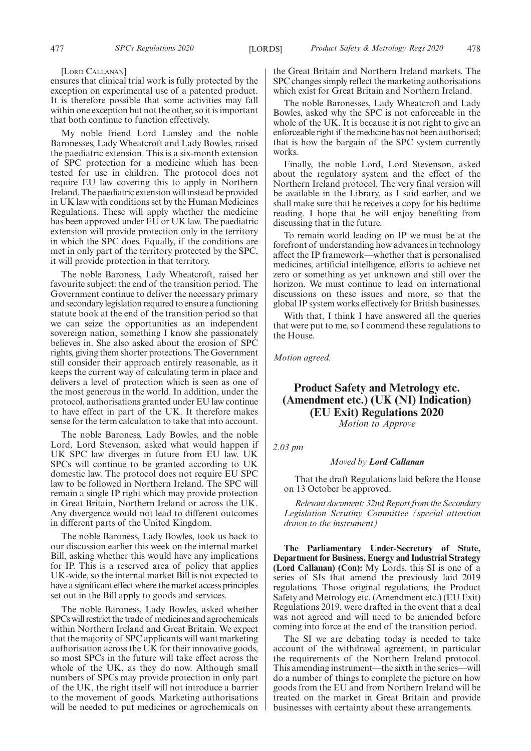[LORD CALLANAN]

ensures that clinical trial work is fully protected by the exception on experimental use of a patented product. It is therefore possible that some activities may fall within one exception but not the other, so it is important that both continue to function effectively.

My noble friend Lord Lansley and the noble Baronesses, Lady Wheatcroft and Lady Bowles, raised the paediatric extension. This is a six-month extension of SPC protection for a medicine which has been tested for use in children. The protocol does not require EU law covering this to apply in Northern Ireland. The paediatric extension will instead be provided in UK law with conditions set by the Human Medicines Regulations. These will apply whether the medicine has been approved under EU or UK law. The paediatric extension will provide protection only in the territory in which the SPC does. Equally, if the conditions are met in only part of the territory protected by the SPC, it will provide protection in that territory.

The noble Baroness, Lady Wheatcroft, raised her favourite subject: the end of the transition period. The Government continue to deliver the necessary primary and secondary legislation required to ensure a functioning statute book at the end of the transition period so that we can seize the opportunities as an independent sovereign nation, something I know she passionately believes in. She also asked about the erosion of SPC rights, giving them shorter protections. The Government still consider their approach entirely reasonable, as it keeps the current way of calculating term in place and delivers a level of protection which is seen as one of the most generous in the world. In addition, under the protocol, authorisations granted under EU law continue to have effect in part of the UK. It therefore makes sense for the term calculation to take that into account.

The noble Baroness, Lady Bowles, and the noble Lord, Lord Stevenson, asked what would happen if UK SPC law diverges in future from EU law. UK SPCs will continue to be granted according to UK domestic law. The protocol does not require EU SPC law to be followed in Northern Ireland. The SPC will remain a single IP right which may provide protection in Great Britain, Northern Ireland or across the UK. Any divergence would not lead to different outcomes in different parts of the United Kingdom.

The noble Baroness, Lady Bowles, took us back to our discussion earlier this week on the internal market Bill, asking whether this would have any implications for IP. This is a reserved area of policy that applies UK-wide, so the internal market Bill is not expected to have a significant effect where the market access principles set out in the Bill apply to goods and services.

The noble Baroness, Lady Bowles, asked whether SPCs will restrict the trade of medicines and agrochemicals within Northern Ireland and Great Britain. We expect that the majority of SPC applicants will want marketing authorisation across the  $\overrightarrow{UK}$  for their innovative goods, so most SPCs in the future will take effect across the whole of the UK, as they do now. Although small numbers of SPCs may provide protection in only part of the UK, the right itself will not introduce a barrier to the movement of goods. Marketing authorisations will be needed to put medicines or agrochemicals on the Great Britain and Northern Ireland markets. The SPC changes simply reflect the marketing authorisations which exist for Great Britain and Northern Ireland.

The noble Baronesses, Lady Wheatcroft and Lady Bowles, asked why the SPC is not enforceable in the whole of the UK. It is because it is not right to give an enforceable right if the medicine has not been authorised; that is how the bargain of the SPC system currently works.

Finally, the noble Lord, Lord Stevenson, asked about the regulatory system and the effect of the Northern Ireland protocol. The very final version will be available in the Library, as I said earlier, and we shall make sure that he receives a copy for his bedtime reading. I hope that he will enjoy benefiting from discussing that in the future.

To remain world leading on IP we must be at the forefront of understanding how advances in technology affect the IP framework—whether that is personalised medicines, artificial intelligence, efforts to achieve net zero or something as yet unknown and still over the horizon. We must continue to lead on international discussions on these issues and more, so that the global IP system works effectively for British businesses.

With that, I think I have answered all the queries that were put to me, so I commend these regulations to the House.

*Motion agreed.*

## **Product Safety and Metrology etc. (Amendment etc.) (UK (NI) Indication) (EU Exit) Regulations 2020**

*Motion to Approve*

*2.03 pm*

#### *Moved by Lord Callanan*

That the draft Regulations laid before the House on 13 October be approved.

*Relevant document: 32nd Report from the Secondary Legislation Scrutiny Committee (special attention drawn to the instrument)*

**The Parliamentary Under-Secretary of State, Department for Business, Energy and Industrial Strategy (Lord Callanan) (Con):** My Lords, this SI is one of a series of SIs that amend the previously laid 2019 regulations. Those original regulations, the Product Safety and Metrology etc. (Amendment etc.) (EU Exit) Regulations 2019, were drafted in the event that a deal was not agreed and will need to be amended before coming into force at the end of the transition period.

The SI we are debating today is needed to take account of the withdrawal agreement, in particular the requirements of the Northern Ireland protocol. This amending instrument—the sixth in the series—will do a number of things to complete the picture on how goods from the EU and from Northern Ireland will be treated on the market in Great Britain and provide businesses with certainty about these arrangements.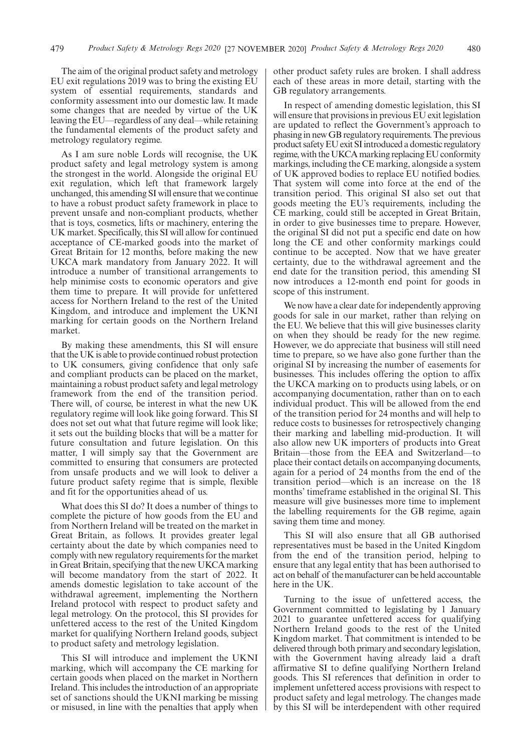The aim of the original product safety and metrology EU exit regulations 2019 was to bring the existing EU system of essential requirements, standards and conformity assessment into our domestic law. It made some changes that are needed by virtue of the UK leaving the EU—regardless of any deal—while retaining the fundamental elements of the product safety and metrology regulatory regime.

As I am sure noble Lords will recognise, the UK product safety and legal metrology system is among the strongest in the world. Alongside the original EU exit regulation, which left that framework largely unchanged, this amending SI will ensure that we continue to have a robust product safety framework in place to prevent unsafe and non-compliant products, whether that is toys, cosmetics, lifts or machinery, entering the UK market. Specifically, this SI will allow for continued acceptance of CE-marked goods into the market of Great Britain for 12 months, before making the new UKCA mark mandatory from January 2022. It will introduce a number of transitional arrangements to help minimise costs to economic operators and give them time to prepare. It will provide for unfettered access for Northern Ireland to the rest of the United Kingdom, and introduce and implement the UKNI marking for certain goods on the Northern Ireland market.

By making these amendments, this SI will ensure that the UK is able to provide continued robust protection to UK consumers, giving confidence that only safe and compliant products can be placed on the market, maintaining a robust product safety and legal metrology framework from the end of the transition period. There will, of course, be interest in what the new UK regulatory regime will look like going forward. This SI does not set out what that future regime will look like; it sets out the building blocks that will be a matter for future consultation and future legislation. On this matter, I will simply say that the Government are committed to ensuring that consumers are protected from unsafe products and we will look to deliver a future product safety regime that is simple, flexible and fit for the opportunities ahead of us.

What does this SI do? It does a number of things to complete the picture of how goods from the EU and from Northern Ireland will be treated on the market in Great Britain, as follows. It provides greater legal certainty about the date by which companies need to comply with new regulatory requirements for the market in Great Britain, specifying that the new UKCA marking will become mandatory from the start of 2022. It amends domestic legislation to take account of the withdrawal agreement, implementing the Northern Ireland protocol with respect to product safety and legal metrology. On the protocol, this SI provides for unfettered access to the rest of the United Kingdom market for qualifying Northern Ireland goods, subject to product safety and metrology legislation.

This SI will introduce and implement the UKNI marking, which will accompany the CE marking for certain goods when placed on the market in Northern Ireland. This includes the introduction of an appropriate set of sanctions should the UKNI marking be missing or misused, in line with the penalties that apply when other product safety rules are broken. I shall address each of these areas in more detail, starting with the GB regulatory arrangements.

In respect of amending domestic legislation, this SI will ensure that provisions in previous EU exit legislation are updated to reflect the Government's approach to phasing in new GB regulatory requirements. The previous product safety EU exit SI introduced a domestic regulatory regime, with the UKCA marking replacing EU conformity markings, including the CE marking, alongside a system of UK approved bodies to replace EU notified bodies. That system will come into force at the end of the transition period. This original SI also set out that goods meeting the EU's requirements, including the CE marking, could still be accepted in Great Britain, in order to give businesses time to prepare. However, the original SI did not put a specific end date on how long the CE and other conformity markings could continue to be accepted. Now that we have greater certainty, due to the withdrawal agreement and the end date for the transition period, this amending SI now introduces a 12-month end point for goods in scope of this instrument.

We now have a clear date for independently approving goods for sale in our market, rather than relying on the EU. We believe that this will give businesses clarity on when they should be ready for the new regime. However, we do appreciate that business will still need time to prepare, so we have also gone further than the original SI by increasing the number of easements for businesses. This includes offering the option to affix the UKCA marking on to products using labels, or on accompanying documentation, rather than on to each individual product. This will be allowed from the end of the transition period for 24 months and will help to reduce costs to businesses for retrospectively changing their marking and labelling mid-production. It will also allow new UK importers of products into Great Britain—those from the EEA and Switzerland—to place their contact details on accompanying documents, again for a period of 24 months from the end of the transition period—which is an increase on the 18 months' timeframe established in the original SI. This measure will give businesses more time to implement the labelling requirements for the GB regime, again saving them time and money.

This SI will also ensure that all GB authorised representatives must be based in the United Kingdom from the end of the transition period, helping to ensure that any legal entity that has been authorised to act on behalf of the manufacturer can be held accountable here in the UK.

Turning to the issue of unfettered access, the Government committed to legislating by 1 January 2021 to guarantee unfettered access for qualifying Northern Ireland goods to the rest of the United Kingdom market. That commitment is intended to be delivered through both primary and secondary legislation, with the Government having already laid a draft affirmative SI to define qualifying Northern Ireland goods. This SI references that definition in order to implement unfettered access provisions with respect to product safety and legal metrology. The changes made by this SI will be interdependent with other required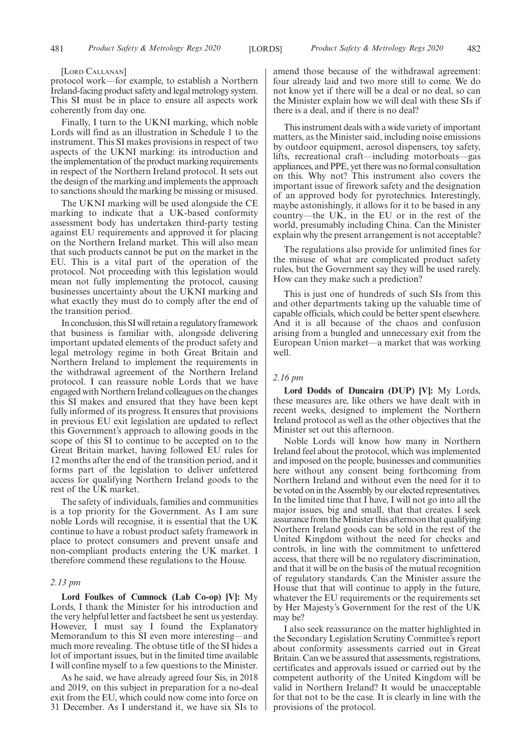#### [LORD CALLANAN]

protocol work—for example, to establish a Northern Ireland-facing product safety and legal metrology system. This SI must be in place to ensure all aspects work coherently from day one.

Finally, I turn to the UKNI marking, which noble Lords will find as an illustration in Schedule 1 to the instrument. This SI makes provisions in respect of two aspects of the UKNI marking: its introduction and the implementation of the product marking requirements in respect of the Northern Ireland protocol. It sets out the design of the marking and implements the approach to sanctions should the marking be missing or misused.

The UKNI marking will be used alongside the CE marking to indicate that a UK-based conformity assessment body has undertaken third-party testing against EU requirements and approved it for placing on the Northern Ireland market. This will also mean that such products cannot be put on the market in the EU. This is a vital part of the operation of the protocol. Not proceeding with this legislation would mean not fully implementing the protocol, causing businesses uncertainty about the UKNI marking and what exactly they must do to comply after the end of the transition period.

In conclusion, this SI will retain a regulatory framework that business is familiar with, alongside delivering important updated elements of the product safety and legal metrology regime in both Great Britain and Northern Ireland to implement the requirements in the withdrawal agreement of the Northern Ireland protocol. I can reassure noble Lords that we have engaged with Northern Ireland colleagues on the changes this SI makes and ensured that they have been kept fully informed of its progress. It ensures that provisions in previous EU exit legislation are updated to reflect this Government's approach to allowing goods in the scope of this SI to continue to be accepted on to the Great Britain market, having followed EU rules for 12 months after the end of the transition period, and it forms part of the legislation to deliver unfettered access for qualifying Northern Ireland goods to the rest of the UK market.

The safety of individuals, families and communities is a top priority for the Government. As I am sure noble Lords will recognise, it is essential that the UK continue to have a robust product safety framework in place to protect consumers and prevent unsafe and non-compliant products entering the UK market. I therefore commend these regulations to the House.

#### *2.13 pm*

**Lord Foulkes of Cumnock (Lab Co-op) [V]:** My Lords, I thank the Minister for his introduction and the very helpful letter and factsheet he sent us yesterday. However, I must say I found the Explanatory Memorandum to this SI even more interesting—and much more revealing. The obtuse title of the SI hides a lot of important issues, but in the limited time available I will confine myself to a few questions to the Minister.

As he said, we have already agreed four Sis, in 2018 and 2019, on this subject in preparation for a no-deal exit from the EU, which could now come into force on 31 December. As I understand it, we have six SIs to amend those because of the withdrawal agreement: four already laid and two more still to come. We do not know yet if there will be a deal or no deal, so can the Minister explain how we will deal with these SIs if there is a deal, and if there is no deal?

This instrument deals with a wide variety of important matters, as the Minister said, including noise emissions by outdoor equipment, aerosol dispensers, toy safety, lifts, recreational craft—including motorboats—gas appliances, and PPE, yet there was no formal consultation on this. Why not? This instrument also covers the important issue of firework safety and the designation of an approved body for pyrotechnics. Interestingly, maybe astonishingly, it allows for it to be based in any country—the UK, in the EU or in the rest of the world, presumably including China. Can the Minister explain why the present arrangement is not acceptable?

The regulations also provide for unlimited fines for the misuse of what are complicated product safety rules, but the Government say they will be used rarely. How can they make such a prediction?

This is just one of hundreds of such SIs from this and other departments taking up the valuable time of capable officials, which could be better spent elsewhere. And it is all because of the chaos and confusion arising from a bungled and unnecessary exit from the European Union market—a market that was working well.

#### *2.16 pm*

**Lord Dodds of Duncairn (DUP) [V]:** My Lords, these measures are, like others we have dealt with in recent weeks, designed to implement the Northern Ireland protocol as well as the other objectives that the Minister set out this afternoon.

Noble Lords will know how many in Northern Ireland feel about the protocol, which was implemented and imposed on the people, businesses and communities here without any consent being forthcoming from Northern Ireland and without even the need for it to be voted on in the Assembly by our elected representatives. In the limited time that I have, I will not go into all the major issues, big and small, that that creates. I seek assurance from the Minister this afternoon that qualifying Northern Ireland goods can be sold in the rest of the United Kingdom without the need for checks and controls, in line with the commitment to unfettered access, that there will be no regulatory discrimination, and that it will be on the basis of the mutual recognition of regulatory standards. Can the Minister assure the House that that will continue to apply in the future, whatever the EU requirements or the requirements set by Her Majesty's Government for the rest of the UK may be?

I also seek reassurance on the matter highlighted in the Secondary Legislation Scrutiny Committee's report about conformity assessments carried out in Great Britain. Can we be assured that assessments, registrations, certificates and approvals issued or carried out by the competent authority of the United Kingdom will be valid in Northern Ireland? It would be unacceptable for that not to be the case. It is clearly in line with the provisions of the protocol.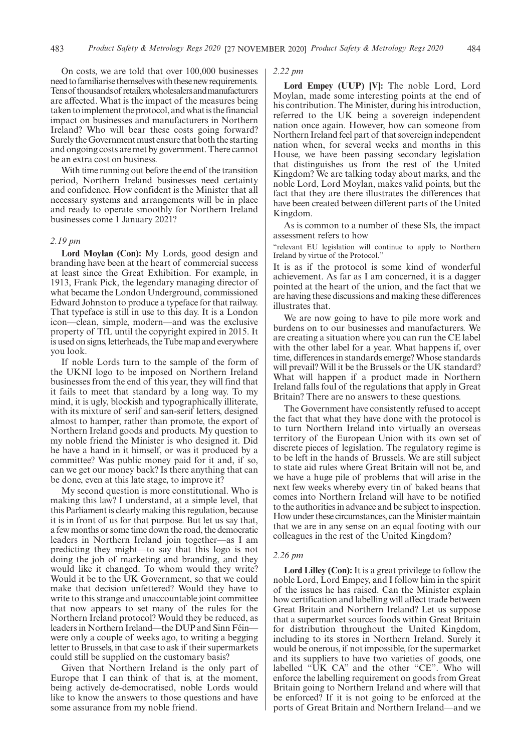On costs, we are told that over 100,000 businesses need to familiarise themselves with these new requirements. Tensof thousandsof retailers,wholesalersandmanufacturers are affected. What is the impact of the measures being taken to implement the protocol, and what is the financial impact on businesses and manufacturers in Northern Ireland? Who will bear these costs going forward? Surely the Government must ensure that both the starting and ongoing costs are met by government. There cannot be an extra cost on business.

With time running out before the end of the transition period, Northern Ireland businesses need certainty and confidence. How confident is the Minister that all necessary systems and arrangements will be in place and ready to operate smoothly for Northern Ireland businesses come 1 January 2021?

#### *2.19 pm*

**Lord Moylan (Con):** My Lords, good design and branding have been at the heart of commercial success at least since the Great Exhibition. For example, in 1913, Frank Pick, the legendary managing director of what became the London Underground, commissioned Edward Johnston to produce a typeface for that railway. That typeface is still in use to this day. It is a London icon—clean, simple, modern—and was the exclusive property of TfL until the copyright expired in 2015. It is used on signs, letterheads, the Tube map and everywhere you look.

If noble Lords turn to the sample of the form of the UKNI logo to be imposed on Northern Ireland businesses from the end of this year, they will find that it fails to meet that standard by a long way. To my mind, it is ugly, blockish and typographically illiterate, with its mixture of serif and san-serif letters, designed almost to hamper, rather than promote, the export of Northern Ireland goods and products. My question to my noble friend the Minister is who designed it. Did he have a hand in it himself, or was it produced by a committee? Was public money paid for it and, if so, can we get our money back? Is there anything that can be done, even at this late stage, to improve it?

My second question is more constitutional. Who is making this law? I understand, at a simple level, that this Parliament is clearly making this regulation, because it is in front of us for that purpose. But let us say that, a few months or some time down the road, the democratic leaders in Northern Ireland join together—as I am predicting they might—to say that this logo is not doing the job of marketing and branding, and they would like it changed. To whom would they write? Would it be to the UK Government, so that we could make that decision unfettered? Would they have to write to this strange and unaccountable joint committee that now appears to set many of the rules for the Northern Ireland protocol? Would they be reduced, as leaders in Northern Ireland—the DUP and Sinn Féin were only a couple of weeks ago, to writing a begging letter to Brussels, in that case to ask if their supermarkets could still be supplied on the customary basis?

Given that Northern Ireland is the only part of Europe that I can think of that is, at the moment, being actively de-democratised, noble Lords would like to know the answers to those questions and have some assurance from my noble friend.

#### *2.22 pm*

**Lord Empey (UUP) [V]:** The noble Lord, Lord Moylan, made some interesting points at the end of his contribution. The Minister, during his introduction, referred to the UK being a sovereign independent nation once again. However, how can someone from Northern Ireland feel part of that sovereign independent nation when, for several weeks and months in this House, we have been passing secondary legislation that distinguishes us from the rest of the United Kingdom? We are talking today about marks, and the noble Lord, Lord Moylan, makes valid points, but the fact that they are there illustrates the differences that have been created between different parts of the United Kingdom.

As is common to a number of these SIs, the impact assessment refers to how

"relevant EU legislation will continue to apply to Northern Ireland by virtue of the Protocol."

It is as if the protocol is some kind of wonderful achievement. As far as I am concerned, it is a dagger pointed at the heart of the union, and the fact that we are having these discussions and making these differences illustrates that.

We are now going to have to pile more work and burdens on to our businesses and manufacturers. We are creating a situation where you can run the CE label with the other label for a year. What happens if, over time, differences in standards emerge? Whose standards will prevail? Will it be the Brussels or the UK standard? What will happen if a product made in Northern Ireland falls foul of the regulations that apply in Great Britain? There are no answers to these questions.

The Government have consistently refused to accept the fact that what they have done with the protocol is to turn Northern Ireland into virtually an overseas territory of the European Union with its own set of discrete pieces of legislation. The regulatory regime is to be left in the hands of Brussels. We are still subject to state aid rules where Great Britain will not be, and we have a huge pile of problems that will arise in the next few weeks whereby every tin of baked beans that comes into Northern Ireland will have to be notified to the authorities in advance and be subject to inspection. How under these circumstances, can the Minister maintain that we are in any sense on an equal footing with our colleagues in the rest of the United Kingdom?

#### *2.26 pm*

**Lord Lilley (Con):** It is a great privilege to follow the noble Lord, Lord Empey, and I follow him in the spirit of the issues he has raised. Can the Minister explain how certification and labelling will affect trade between Great Britain and Northern Ireland? Let us suppose that a supermarket sources foods within Great Britain for distribution throughout the United Kingdom, including to its stores in Northern Ireland. Surely it would be onerous, if not impossible, for the supermarket and its suppliers to have two varieties of goods, one labelled "UK CA" and the other "CE". Who will enforce the labelling requirement on goods from Great Britain going to Northern Ireland and where will that be enforced? If it is not going to be enforced at the ports of Great Britain and Northern Ireland—and we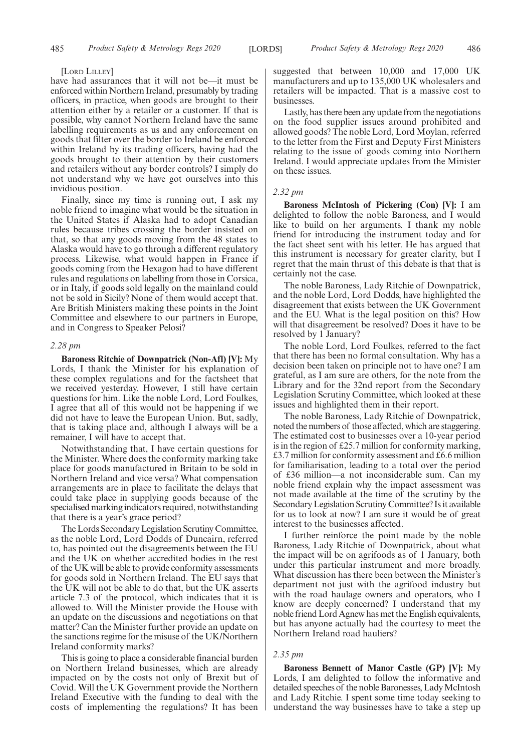#### [LORD LILLEY]

have had assurances that it will not be—it must be enforced within Northern Ireland, presumably by trading officers, in practice, when goods are brought to their attention either by a retailer or a customer. If that is possible, why cannot Northern Ireland have the same labelling requirements as us and any enforcement on goods that filter over the border to Ireland be enforced within Ireland by its trading officers, having had the goods brought to their attention by their customers and retailers without any border controls? I simply do not understand why we have got ourselves into this invidious position.

Finally, since my time is running out, I ask my noble friend to imagine what would be the situation in the United States if Alaska had to adopt Canadian rules because tribes crossing the border insisted on that, so that any goods moving from the 48 states to Alaska would have to go through a different regulatory process. Likewise, what would happen in France if goods coming from the Hexagon had to have different rules and regulations on labelling from those in Corsica, or in Italy, if goods sold legally on the mainland could not be sold in Sicily? None of them would accept that. Are British Ministers making these points in the Joint Committee and elsewhere to our partners in Europe, and in Congress to Speaker Pelosi?

#### *2.28 pm*

**Baroness Ritchie of Downpatrick (Non-Afl) [V]:** My Lords, I thank the Minister for his explanation of these complex regulations and for the factsheet that we received yesterday. However, I still have certain questions for him. Like the noble Lord, Lord Foulkes, I agree that all of this would not be happening if we did not have to leave the European Union. But, sadly, that is taking place and, although I always will be a remainer, I will have to accept that.

Notwithstanding that, I have certain questions for the Minister. Where does the conformity marking take place for goods manufactured in Britain to be sold in Northern Ireland and vice versa? What compensation arrangements are in place to facilitate the delays that could take place in supplying goods because of the specialised marking indicators required, notwithstanding that there is a year's grace period?

The Lords Secondary Legislation Scrutiny Committee, as the noble Lord, Lord Dodds of Duncairn, referred to, has pointed out the disagreements between the EU and the UK on whether accredited bodies in the rest of the UK will be able to provide conformity assessments for goods sold in Northern Ireland. The EU says that the UK will not be able to do that, but the UK asserts article 7.3 of the protocol, which indicates that it is allowed to. Will the Minister provide the House with an update on the discussions and negotiations on that matter? Can the Minister further provide an update on the sanctions regime for the misuse of the UK/Northern Ireland conformity marks?

This is going to place a considerable financial burden on Northern Ireland businesses, which are already impacted on by the costs not only of Brexit but of Covid. Will the UK Government provide the Northern Ireland Executive with the funding to deal with the costs of implementing the regulations? It has been

suggested that between 10,000 and 17,000 UK manufacturers and up to 135,000 UK wholesalers and retailers will be impacted. That is a massive cost to businesses.

Lastly, has there been any update from the negotiations on the food supplier issues around prohibited and allowed goods? The noble Lord, Lord Moylan, referred to the letter from the First and Deputy First Ministers relating to the issue of goods coming into Northern Ireland. I would appreciate updates from the Minister on these issues.

#### *2.32 pm*

**Baroness McIntosh of Pickering (Con) [V]:** I am delighted to follow the noble Baroness, and I would like to build on her arguments. I thank my noble friend for introducing the instrument today and for the fact sheet sent with his letter. He has argued that this instrument is necessary for greater clarity, but I regret that the main thrust of this debate is that that is certainly not the case.

The noble Baroness, Lady Ritchie of Downpatrick, and the noble Lord, Lord Dodds, have highlighted the disagreement that exists between the UK Government and the EU. What is the legal position on this? How will that disagreement be resolved? Does it have to be resolved by 1 January?

The noble Lord, Lord Foulkes, referred to the fact that there has been no formal consultation. Why has a decision been taken on principle not to have one? I am grateful, as I am sure are others, for the note from the Library and for the 32nd report from the Secondary Legislation Scrutiny Committee, which looked at these issues and highlighted them in their report.

The noble Baroness, Lady Ritchie of Downpatrick, noted the numbers of those affected, which are staggering. The estimated cost to businesses over a 10-year period is in the region of £25.7 million for conformity marking, £3.7 million for conformity assessment and £6.6 million for familiarisation, leading to a total over the period of £36 million—a not inconsiderable sum. Can my noble friend explain why the impact assessment was not made available at the time of the scrutiny by the Secondary Legislation Scrutiny Committee? Is it available for us to look at now? I am sure it would be of great interest to the businesses affected.

I further reinforce the point made by the noble Baroness, Lady Ritchie of Downpatrick, about what the impact will be on agrifoods as of 1 January, both under this particular instrument and more broadly. What discussion has there been between the Minister's department not just with the agrifood industry but with the road haulage owners and operators, who I know are deeply concerned? I understand that my noble friend Lord Agnew has met the English equivalents, but has anyone actually had the courtesy to meet the Northern Ireland road hauliers?

#### *2.35 pm*

**Baroness Bennett of Manor Castle (GP) [V]:** My Lords, I am delighted to follow the informative and detailed speeches of the noble Baronesses, Lady McIntosh and Lady Ritchie. I spent some time today seeking to understand the way businesses have to take a step up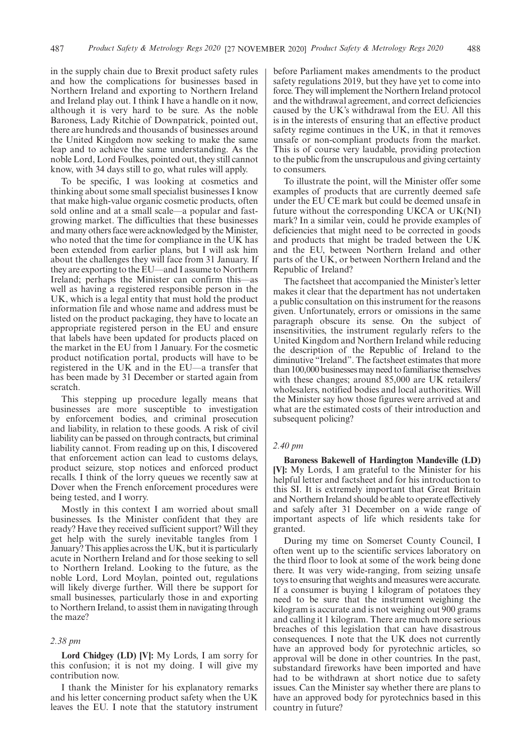in the supply chain due to Brexit product safety rules and how the complications for businesses based in Northern Ireland and exporting to Northern Ireland and Ireland play out. I think I have a handle on it now, although it is very hard to be sure. As the noble Baroness, Lady Ritchie of Downpatrick, pointed out, there are hundreds and thousands of businesses around the United Kingdom now seeking to make the same leap and to achieve the same understanding. As the noble Lord, Lord Foulkes, pointed out, they still cannot know, with 34 days still to go, what rules will apply.

To be specific, I was looking at cosmetics and thinking about some small specialist businesses I know that make high-value organic cosmetic products, often sold online and at a small scale—a popular and fastgrowing market. The difficulties that these businesses and many others face were acknowledged by the Minister, who noted that the time for compliance in the UK has been extended from earlier plans, but I will ask him about the challenges they will face from 31 January. If they are exporting to the EU—and I assume to Northern Ireland; perhaps the Minister can confirm this—as well as having a registered responsible person in the UK, which is a legal entity that must hold the product information file and whose name and address must be listed on the product packaging, they have to locate an appropriate registered person in the EU and ensure that labels have been updated for products placed on the market in the EU from 1 January. For the cosmetic product notification portal, products will have to be registered in the UK and in the EU—a transfer that has been made by 31 December or started again from scratch.

This stepping up procedure legally means that businesses are more susceptible to investigation by enforcement bodies, and criminal prosecution and liability, in relation to these goods. A risk of civil liability can be passed on through contracts, but criminal liability cannot. From reading up on this, I discovered that enforcement action can lead to customs delays, product seizure, stop notices and enforced product recalls. I think of the lorry queues we recently saw at Dover when the French enforcement procedures were being tested, and I worry.

Mostly in this context I am worried about small businesses. Is the Minister confident that they are ready? Have they received sufficient support? Will they get help with the surely inevitable tangles from 1 January? This applies across the UK, but it is particularly acute in Northern Ireland and for those seeking to sell to Northern Ireland. Looking to the future, as the noble Lord, Lord Moylan, pointed out, regulations will likely diverge further. Will there be support for small businesses, particularly those in and exporting to Northern Ireland, to assist them in navigating through the maze?

#### *2.38 pm*

**Lord Chidgey (LD) [V]:** My Lords, I am sorry for this confusion; it is not my doing. I will give my contribution now.

I thank the Minister for his explanatory remarks and his letter concerning product safety when the UK leaves the EU. I note that the statutory instrument before Parliament makes amendments to the product safety regulations 2019, but they have yet to come into force. They will implement the Northern Ireland protocol and the withdrawal agreement, and correct deficiencies caused by the UK's withdrawal from the EU. All this is in the interests of ensuring that an effective product safety regime continues in the UK, in that it removes unsafe or non-compliant products from the market. This is of course very laudable, providing protection to the public from the unscrupulous and giving certainty to consumers.

To illustrate the point, will the Minister offer some examples of products that are currently deemed safe under the EU CE mark but could be deemed unsafe in future without the corresponding UKCA or UK(NI) mark? In a similar vein, could he provide examples of deficiencies that might need to be corrected in goods and products that might be traded between the UK and the EU, between Northern Ireland and other parts of the UK, or between Northern Ireland and the Republic of Ireland?

The factsheet that accompanied the Minister's letter makes it clear that the department has not undertaken a public consultation on this instrument for the reasons given. Unfortunately, errors or omissions in the same paragraph obscure its sense. On the subject of insensitivities, the instrument regularly refers to the United Kingdom and Northern Ireland while reducing the description of the Republic of Ireland to the diminutive "Ireland". The factsheet estimates that more than 100,000 businesses may need to familiarise themselves with these changes; around 85,000 are UK retailers/ wholesalers, notified bodies and local authorities. Will the Minister say how those figures were arrived at and what are the estimated costs of their introduction and subsequent policing?

#### *2.40 pm*

**Baroness Bakewell of Hardington Mandeville (LD) [V]:** My Lords, I am grateful to the Minister for his helpful letter and factsheet and for his introduction to this SI. It is extremely important that Great Britain and Northern Ireland should be able to operate effectively and safely after 31 December on a wide range of important aspects of life which residents take for granted.

During my time on Somerset County Council, I often went up to the scientific services laboratory on the third floor to look at some of the work being done there. It was very wide-ranging, from seizing unsafe toys to ensuring that weights and measures were accurate. If a consumer is buying 1 kilogram of potatoes they need to be sure that the instrument weighing the kilogram is accurate and is not weighing out 900 grams and calling it 1 kilogram. There are much more serious breaches of this legislation that can have disastrous consequences. I note that the UK does not currently have an approved body for pyrotechnic articles, so approval will be done in other countries. In the past, substandard fireworks have been imported and have had to be withdrawn at short notice due to safety issues. Can the Minister say whether there are plans to have an approved body for pyrotechnics based in this country in future?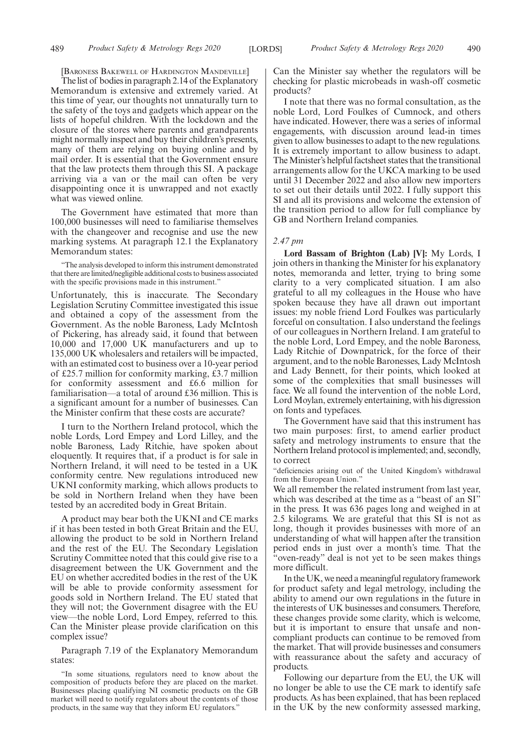[BARONESS BAKEWELL OF HARDINGTON MANDEVILLE]

The list of bodies in paragraph 2.14 of the Explanatory Memorandum is extensive and extremely varied. At this time of year, our thoughts not unnaturally turn to the safety of the toys and gadgets which appear on the lists of hopeful children. With the lockdown and the closure of the stores where parents and grandparents might normally inspect and buy their children's presents, many of them are relying on buying online and by mail order. It is essential that the Government ensure that the law protects them through this SI. A package arriving via a van or the mail can often be very disappointing once it is unwrapped and not exactly what was viewed online.

The Government have estimated that more than 100,000 businesses will need to familiarise themselves with the changeover and recognise and use the new marking systems. At paragraph 12.1 the Explanatory Memorandum states:

"The analysis developed to inform this instrument demonstrated that there are limited/negligible additional costs to business associated with the specific provisions made in this instrument."

Unfortunately, this is inaccurate. The Secondary Legislation Scrutiny Committee investigated this issue and obtained a copy of the assessment from the Government. As the noble Baroness, Lady McIntosh of Pickering, has already said, it found that between 10,000 and 17,000 UK manufacturers and up to 135,000 UK wholesalers and retailers will be impacted, with an estimated cost to business over a 10-year period of £25.7 million for conformity marking, £3.7 million for conformity assessment and £6.6 million for familiarisation—a total of around £36 million. This is a significant amount for a number of businesses. Can the Minister confirm that these costs are accurate?

I turn to the Northern Ireland protocol, which the noble Lords, Lord Empey and Lord Lilley, and the noble Baroness, Lady Ritchie, have spoken about eloquently. It requires that, if a product is for sale in Northern Ireland, it will need to be tested in a UK conformity centre. New regulations introduced new UKNI conformity marking, which allows products to be sold in Northern Ireland when they have been tested by an accredited body in Great Britain.

A product may bear both the UKNI and CE marks if it has been tested in both Great Britain and the EU, allowing the product to be sold in Northern Ireland and the rest of the EU. The Secondary Legislation Scrutiny Committee noted that this could give rise to a disagreement between the UK Government and the EU on whether accredited bodies in the rest of the UK will be able to provide conformity assessment for goods sold in Northern Ireland. The EU stated that they will not; the Government disagree with the EU view—the noble Lord, Lord Empey, referred to this. Can the Minister please provide clarification on this complex issue?

Paragraph 7.19 of the Explanatory Memorandum states:

Can the Minister say whether the regulators will be checking for plastic microbeads in wash-off cosmetic products?

I note that there was no formal consultation, as the noble Lord, Lord Foulkes of Cumnock, and others have indicated. However, there was a series of informal engagements, with discussion around lead-in times given to allow businesses to adapt to the new regulations. It is extremely important to allow business to adapt. The Minister's helpful factsheet states that the transitional arrangements allow for the UKCA marking to be used until 31 December 2022 and also allow new importers to set out their details until 2022. I fully support this SI and all its provisions and welcome the extension of the transition period to allow for full compliance by GB and Northern Ireland companies.

#### *2.47 pm*

**Lord Bassam of Brighton (Lab) [V]:** My Lords, I join others in thanking the Minister for his explanatory notes, memoranda and letter, trying to bring some clarity to a very complicated situation. I am also grateful to all my colleagues in the House who have spoken because they have all drawn out important issues: my noble friend Lord Foulkes was particularly forceful on consultation. I also understand the feelings of our colleagues in Northern Ireland. I am grateful to the noble Lord, Lord Empey, and the noble Baroness, Lady Ritchie of Downpatrick, for the force of their argument, and to the noble Baronesses, Lady McIntosh and Lady Bennett, for their points, which looked at some of the complexities that small businesses will face. We all found the intervention of the noble Lord, Lord Moylan, extremely entertaining, with his digression on fonts and typefaces.

The Government have said that this instrument has two main purposes: first, to amend earlier product safety and metrology instruments to ensure that the Northern Ireland protocol is implemented; and, secondly, to correct

"deficiencies arising out of the United Kingdom's withdrawal from the European Union."

We all remember the related instrument from last year, which was described at the time as a "beast of an SI" in the press. It was 636 pages long and weighed in at 2.5 kilograms. We are grateful that this SI is not as long, though it provides businesses with more of an understanding of what will happen after the transition period ends in just over a month's time. That the "oven-ready" deal is not yet to be seen makes things more difficult.

In the UK, we need a meaningful regulatory framework for product safety and legal metrology, including the ability to amend our own regulations in the future in the interests of UK businesses and consumers. Therefore, these changes provide some clarity, which is welcome, but it is important to ensure that unsafe and noncompliant products can continue to be removed from the market. That will provide businesses and consumers with reassurance about the safety and accuracy of products.

Following our departure from the EU, the UK will no longer be able to use the CE mark to identify safe products. As has been explained, that has been replaced in the UK by the new conformity assessed marking,

<sup>&</sup>quot;In some situations, regulators need to know about the composition of products before they are placed on the market. Businesses placing qualifying NI cosmetic products on the GB market will need to notify regulators about the contents of those products, in the same way that they inform EU regulators."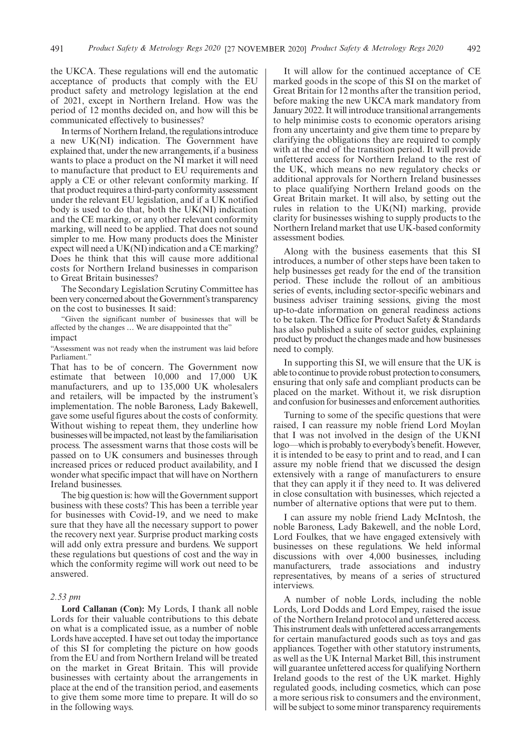the UKCA. These regulations will end the automatic acceptance of products that comply with the EU product safety and metrology legislation at the end of 2021, except in Northern Ireland. How was the period of 12 months decided on, and how will this be communicated effectively to businesses?

In terms of Northern Ireland, the regulations introduce a new UK(NI) indication. The Government have explained that, under the new arrangements, if a business wants to place a product on the NI market it will need to manufacture that product to EU requirements and apply a CE or other relevant conformity marking. If that product requires a third-party conformity assessment under the relevant EU legislation, and if a UK notified body is used to do that, both the UK(NI) indication and the CE marking, or any other relevant conformity marking, will need to be applied. That does not sound simpler to me. How many products does the Minister expect will need a UK(NI) indication and a CE marking? Does he think that this will cause more additional costs for Northern Ireland businesses in comparison to Great Britain businesses?

The Secondary Legislation Scrutiny Committee has been very concerned about the Government's transparency on the cost to businesses. It said:

"Given the significant number of businesses that will be affected by the changes … We are disappointed that the" impact

"Assessment was not ready when the instrument was laid before Parliament."

That has to be of concern. The Government now estimate that between 10,000 and 17,000 UK manufacturers, and up to 135,000 UK wholesalers and retailers, will be impacted by the instrument's implementation. The noble Baroness, Lady Bakewell, gave some useful figures about the costs of conformity. Without wishing to repeat them, they underline how businesses will be impacted, not least by the familiarisation process. The assessment warns that those costs will be passed on to UK consumers and businesses through increased prices or reduced product availability, and I wonder what specific impact that will have on Northern Ireland businesses.

The big question is: how will the Government support business with these costs? This has been a terrible year for businesses with Covid-19, and we need to make sure that they have all the necessary support to power the recovery next year. Surprise product marking costs will add only extra pressure and burdens. We support these regulations but questions of cost and the way in which the conformity regime will work out need to be answered.

#### *2.53 pm*

**Lord Callanan (Con):** My Lords, I thank all noble Lords for their valuable contributions to this debate on what is a complicated issue, as a number of noble Lords have accepted. I have set out today the importance of this SI for completing the picture on how goods from the EU and from Northern Ireland will be treated on the market in Great Britain. This will provide businesses with certainty about the arrangements in place at the end of the transition period, and easements to give them some more time to prepare. It will do so in the following ways.

It will allow for the continued acceptance of CE marked goods in the scope of this SI on the market of Great Britain for 12 months after the transition period, before making the new UKCA mark mandatory from January 2022. It will introduce transitional arrangements to help minimise costs to economic operators arising from any uncertainty and give them time to prepare by clarifying the obligations they are required to comply with at the end of the transition period. It will provide unfettered access for Northern Ireland to the rest of the UK, which means no new regulatory checks or additional approvals for Northern Ireland businesses to place qualifying Northern Ireland goods on the Great Britain market. It will also, by setting out the rules in relation to the UK(NI) marking, provide clarity for businesses wishing to supply products to the Northern Ireland market that use UK-based conformity assessment bodies.

Along with the business easements that this SI introduces, a number of other steps have been taken to help businesses get ready for the end of the transition period. These include the rollout of an ambitious series of events, including sector-specific webinars and business adviser training sessions, giving the most up-to-date information on general readiness actions to be taken. The Office for Product Safety & Standards has also published a suite of sector guides, explaining product by product the changes made and how businesses need to comply.

In supporting this SI, we will ensure that the UK is able to continue to provide robust protection to consumers, ensuring that only safe and compliant products can be placed on the market. Without it, we risk disruption and confusion for businesses and enforcement authorities.

Turning to some of the specific questions that were raised, I can reassure my noble friend Lord Moylan that I was not involved in the design of the UKNI logo—which is probably to everybody's benefit. However, it is intended to be easy to print and to read, and I can assure my noble friend that we discussed the design extensively with a range of manufacturers to ensure that they can apply it if they need to. It was delivered in close consultation with businesses, which rejected a number of alternative options that were put to them.

I can assure my noble friend Lady McIntosh, the noble Baroness, Lady Bakewell, and the noble Lord, Lord Foulkes, that we have engaged extensively with businesses on these regulations. We held informal discussions with over 4,000 businesses, including manufacturers, trade associations and industry representatives, by means of a series of structured interviews.

A number of noble Lords, including the noble Lords, Lord Dodds and Lord Empey, raised the issue of the Northern Ireland protocol and unfettered access. This instrument deals with unfettered access arrangements for certain manufactured goods such as toys and gas appliances. Together with other statutory instruments, as well as the UK Internal Market Bill, this instrument will guarantee unfettered access for qualifying Northern Ireland goods to the rest of the UK market. Highly regulated goods, including cosmetics, which can pose a more serious risk to consumers and the environment, will be subject to some minor transparency requirements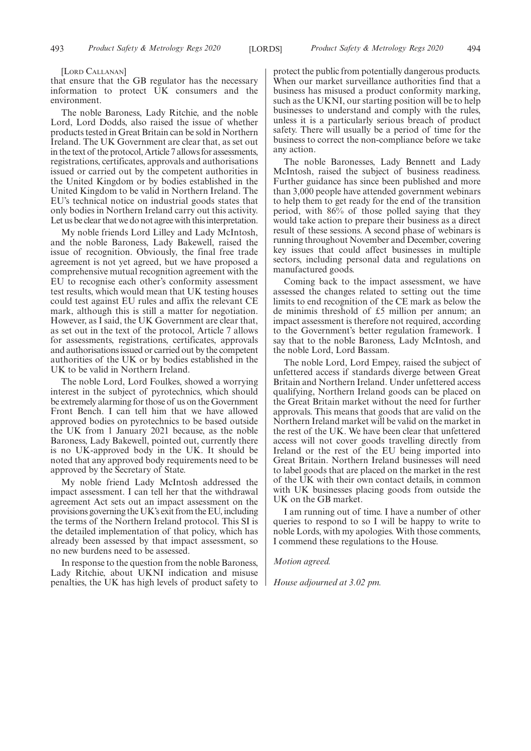[LORD CALLANAN]

that ensure that the GB regulator has the necessary information to protect UK consumers and the environment.

The noble Baroness, Lady Ritchie, and the noble Lord, Lord Dodds, also raised the issue of whether products tested in Great Britain can be sold in Northern Ireland. The UK Government are clear that, as set out in the text of the protocol, Article 7 allows for assessments, registrations, certificates, approvals and authorisations issued or carried out by the competent authorities in the United Kingdom or by bodies established in the United Kingdom to be valid in Northern Ireland. The EU's technical notice on industrial goods states that only bodies in Northern Ireland carry out this activity. Let us be clear that we do not agree with this interpretation.

My noble friends Lord Lilley and Lady McIntosh, and the noble Baroness, Lady Bakewell, raised the issue of recognition. Obviously, the final free trade agreement is not yet agreed, but we have proposed a comprehensive mutual recognition agreement with the EU to recognise each other's conformity assessment test results, which would mean that UK testing houses could test against EU rules and affix the relevant CE mark, although this is still a matter for negotiation. However, as I said, the UK Government are clear that, as set out in the text of the protocol, Article 7 allows for assessments, registrations, certificates, approvals and authorisations issued or carried out by the competent authorities of the UK or by bodies established in the UK to be valid in Northern Ireland.

The noble Lord, Lord Foulkes, showed a worrying interest in the subject of pyrotechnics, which should be extremely alarming for those of us on the Government Front Bench. I can tell him that we have allowed approved bodies on pyrotechnics to be based outside the UK from 1 January 2021 because, as the noble Baroness, Lady Bakewell, pointed out, currently there is no UK-approved body in the UK. It should be noted that any approved body requirements need to be approved by the Secretary of State.

My noble friend Lady McIntosh addressed the impact assessment. I can tell her that the withdrawal agreement Act sets out an impact assessment on the provisions governing the UK's exit from the EU, including the terms of the Northern Ireland protocol. This SI is the detailed implementation of that policy, which has already been assessed by that impact assessment, so no new burdens need to be assessed.

In response to the question from the noble Baroness, Lady Ritchie, about UKNI indication and misuse penalties, the UK has high levels of product safety to protect the public from potentially dangerous products. When our market surveillance authorities find that a business has misused a product conformity marking, such as the UKNI, our starting position will be to help businesses to understand and comply with the rules, unless it is a particularly serious breach of product safety. There will usually be a period of time for the business to correct the non-compliance before we take any action.

The noble Baronesses, Lady Bennett and Lady McIntosh, raised the subject of business readiness. Further guidance has since been published and more than 3,000 people have attended government webinars to help them to get ready for the end of the transition period, with 86% of those polled saying that they would take action to prepare their business as a direct result of these sessions. A second phase of webinars is running throughout November and December, covering key issues that could affect businesses in multiple sectors, including personal data and regulations on manufactured goods.

Coming back to the impact assessment, we have assessed the changes related to setting out the time limits to end recognition of the CE mark as below the de minimis threshold of £5 million per annum; an impact assessment is therefore not required, according to the Government's better regulation framework. I say that to the noble Baroness, Lady McIntosh, and the noble Lord, Lord Bassam.

The noble Lord, Lord Empey, raised the subject of unfettered access if standards diverge between Great Britain and Northern Ireland. Under unfettered access qualifying, Northern Ireland goods can be placed on the Great Britain market without the need for further approvals. This means that goods that are valid on the Northern Ireland market will be valid on the market in the rest of the UK. We have been clear that unfettered access will not cover goods travelling directly from Ireland or the rest of the EU being imported into Great Britain. Northern Ireland businesses will need to label goods that are placed on the market in the rest of the UK with their own contact details, in common with UK businesses placing goods from outside the UK on the GB market.

I am running out of time. I have a number of other queries to respond to so I will be happy to write to noble Lords, with my apologies. With those comments, I commend these regulations to the House.

*Motion agreed.*

*House adjourned at 3.02 pm.*